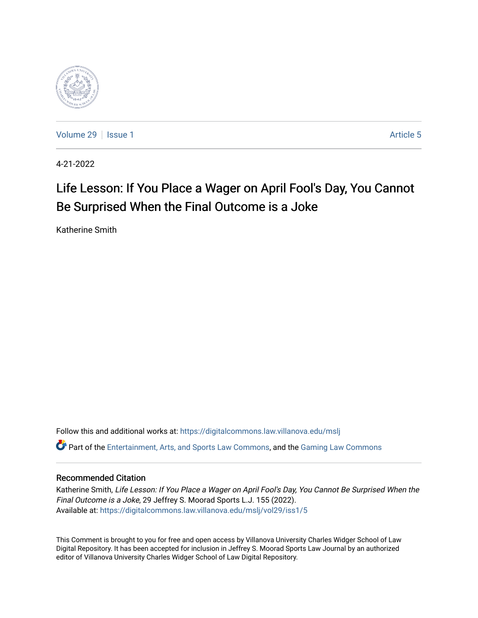

[Volume 29](https://digitalcommons.law.villanova.edu/mslj/vol29) | [Issue 1](https://digitalcommons.law.villanova.edu/mslj/vol29/iss1) Article 5

4-21-2022

# Life Lesson: If You Place a Wager on April Fool's Day, You Cannot Be Surprised When the Final Outcome is a Joke

Katherine Smith

Follow this and additional works at: [https://digitalcommons.law.villanova.edu/mslj](https://digitalcommons.law.villanova.edu/mslj?utm_source=digitalcommons.law.villanova.edu%2Fmslj%2Fvol29%2Fiss1%2F5&utm_medium=PDF&utm_campaign=PDFCoverPages) Part of the [Entertainment, Arts, and Sports Law Commons](http://network.bepress.com/hgg/discipline/893?utm_source=digitalcommons.law.villanova.edu%2Fmslj%2Fvol29%2Fiss1%2F5&utm_medium=PDF&utm_campaign=PDFCoverPages), and the [Gaming Law Commons](http://network.bepress.com/hgg/discipline/1117?utm_source=digitalcommons.law.villanova.edu%2Fmslj%2Fvol29%2Fiss1%2F5&utm_medium=PDF&utm_campaign=PDFCoverPages)

# Recommended Citation

Katherine Smith, Life Lesson: If You Place a Wager on April Fool's Day, You Cannot Be Surprised When the Final Outcome is a Joke, 29 Jeffrey S. Moorad Sports L.J. 155 (2022). Available at: [https://digitalcommons.law.villanova.edu/mslj/vol29/iss1/5](https://digitalcommons.law.villanova.edu/mslj/vol29/iss1/5?utm_source=digitalcommons.law.villanova.edu%2Fmslj%2Fvol29%2Fiss1%2F5&utm_medium=PDF&utm_campaign=PDFCoverPages) 

This Comment is brought to you for free and open access by Villanova University Charles Widger School of Law Digital Repository. It has been accepted for inclusion in Jeffrey S. Moorad Sports Law Journal by an authorized editor of Villanova University Charles Widger School of Law Digital Repository.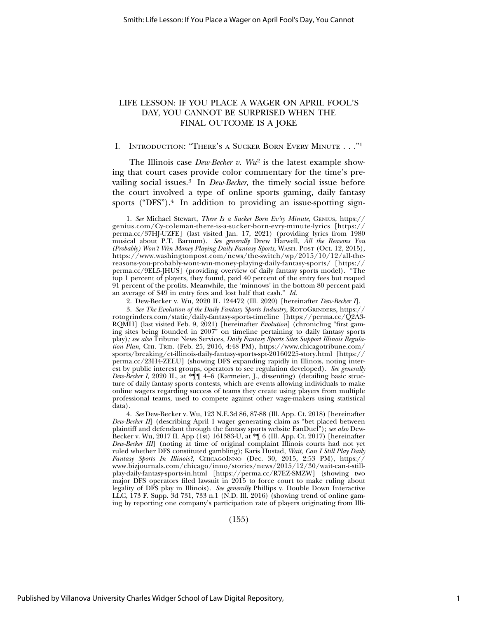# LIFE LESSON: IF YOU PLACE A WAGER ON APRIL FOOL'S DAY, YOU CANNOT BE SURPRISED WHEN THE FINAL OUTCOME IS A JOKE

#### I. INTRODUCTION: "THERE'S A SUCKER BORN EVERY MINUTE . . . "1

The Illinois case *Dew-Becker v. Wu*2 is the latest example showing that court cases provide color commentary for the time's prevailing social issues.3 In *Dew-Becker*, the timely social issue before the court involved a type of online sports gaming, daily fantasy sports ("DFS").<sup>4</sup> In addition to providing an issue-spotting sign-

3. *See The Evolution of the Daily Fantasy Sports Industry*, ROTOGRINDERS, https:// rotogrinders.com/static/daily-fantasy-sports-timeline [https://perma.cc/Q2A3- RQMH] (last visited Feb. 9, 2021) [hereinafter *Evolution*] (chronicling "first gaming sites being founded in 2007" on timeline pertaining to daily fantasy sports play)*; see also* Tribune News Services, *Daily Fantasy Sports Sites Support Illinois Regulation Plan*, CHI. TRIB. (Feb. 25, 2016, 4:48 PM), https://www.chicagotribune.com/ sports/breaking/ct-illinois-daily-fantasy-sports-spt-20160225-story.html [https:// perma.cc/23H4-ZEEU] (showing DFS expanding rapidly in Illinois, noting interest by public interest groups, operators to see regulation developed)*. See generally Dew-Becker I*, 2020 IL, at \*¶¶ 4–6 (Karmeier, J., dissenting) (detailing basic structure of daily fantasy sports contests, which are events allowing individuals to make online wagers regarding success of teams they create using players from multiple professional teams, used to compete against other wage-makers using statistical data).

4. *See* Dew-Becker v. Wu, 123 N.E.3d 86, 87-88 (Ill. App. Ct. 2018) [hereinafter *Dew-Becker II*] (describing April 1 wager generating claim as "bet placed between plaintiff and defendant through the fantasy sports website FanDuel"); *see also* Dew-Becker v. Wu, 2017 IL App (1st) 161383-U, at \*¶ 6 (Ill. App. Ct. 2017) [hereinafter *Dew-Becker III*] (noting at time of original complaint Illinois courts had not yet ruled whether DFS constituted gambling); Karis Hustad, *Wait, Can I Still Play Daily Fantasy Sports In Illinois?*, CHICAGOINNO (Dec. 30, 2015, 2:53 PM), https:// www.bizjournals.com/chicago/inno/stories/news/2015/12/30/wait-can-i-stillplay-daily-fantasy-sports-in.html [https://perma.cc/R7EZ-SMZW] (showing two major DFS operators filed lawsuit in 2015 to force court to make ruling about legality of DFS play in Illinois). *See generally* Phillips v. Double Down Interactive LLC, 173 F. Supp. 3d 731, 733 n.1 (N.D. Ill. 2016) (showing trend of online gaming by reporting one company's participation rate of players originating from Illi-

(155)

<sup>1.</sup> *See* Michael Stewart, *There Is a Sucker Born Ev'ry Minute*, GENIUS, https:// genius.com/Cy-coleman-there-is-a-sucker-born-evry-minute-lyrics [https:// perma.cc/37HJ-UZFE] (last visited Jan. 17, 2021) (providing lyrics from 1980 musical about P.T. Barnum). *See generally* Drew Harwell, *All the Reasons You (Probably) Won't Win Money Playing Daily Fantasy Sports*, WASH. POST (Oct. 12, 2015), https://www.washingtonpost.com/news/the-switch/wp/2015/10/12/all-thereasons-you-probably-wont-win-money-playing-daily-fantasy-sports/ [https:// perma.cc/9EL5-JHUS] (providing overview of daily fantasy sports model). "The top 1 percent of players, they found, paid 40 percent of the entry fees but reaped 91 percent of the profits. Meanwhile, the 'minnows' in the bottom 80 percent paid an average of \$49 in entry fees and lost half that cash." *Id.*

<sup>2.</sup> Dew-Becker v. Wu, 2020 IL 124472 (Ill. 2020) [hereinafter *Dew-Becker I*].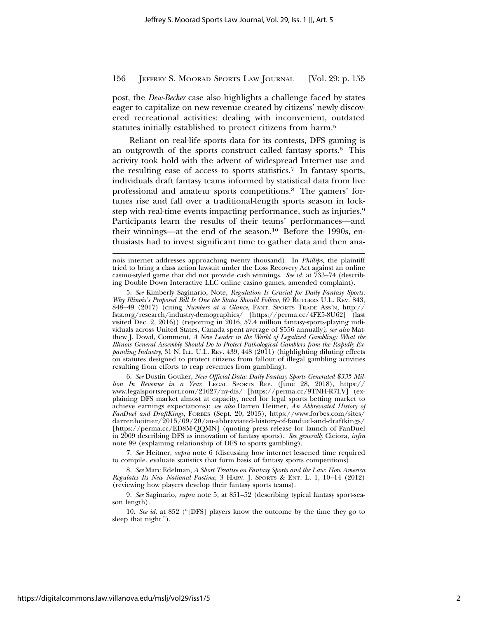post, the *Dew-Becker* case also highlights a challenge faced by states eager to capitalize on new revenue created by citizens' newly discovered recreational activities: dealing with inconvenient, outdated statutes initially established to protect citizens from harm.5

Reliant on real-life sports data for its contests, DFS gaming is an outgrowth of the sports construct called fantasy sports.6 This activity took hold with the advent of widespread Internet use and the resulting ease of access to sports statistics.7 In fantasy sports, individuals draft fantasy teams informed by statistical data from live professional and amateur sports competitions.8 The gamers' fortunes rise and fall over a traditional-length sports season in lockstep with real-time events impacting performance, such as injuries.9 Participants learn the results of their teams' performances—and their winnings—at the end of the season.<sup>10</sup> Before the 1990s, enthusiasts had to invest significant time to gather data and then ana-

6. *See* Dustin Gouker, *New Official Data: Daily Fantasy Sports Generated \$335 Million In Revenue in a Year*, LEGAL SPORTS REP. (June 28, 2018), https:// www.legalsportsreport.com/21627/ny-dfs/ [https://perma.cc/9TNH-R7LV] (explaining DFS market almost at capacity, need for legal sports betting market to achieve earnings expectations); *see also* Darren Heitner, *An Abbreviated History of FanDuel and DraftKings*, FORBES (Sept. 20, 2015), https://www.forbes.com/sites/ darrenheitner/2015/09/20/an-abbreviated-history-of-fanduel-and-draftkings/ [https://perma.cc/ED8M-QQMN] (quoting press release for launch of FanDuel in 2009 describing DFS as innovation of fantasy sports). *See generally* Ciciora, *infra* note 99 (explaining relationship of DFS to sports gambling).

7. *See* Heitner, *supra* note 6 (discussing how internet lessened time required to compile, evaluate statistics that form basis of fantasy sports competitions).

8. *See* Marc Edelman, *A Short Treatise on Fantasy Sports and the Law: How America Regulates Its New National Pastime*, 3 HARV. J. SPORTS & ENT. L. 1, 10–14 (2012) (reviewing how players develop their fantasy sports teams).

9. *See* Saginario, *supra* note 5, at 851–52 (describing typical fantasy sport-season length).

10. *See id.* at 852 ("[DFS] players know the outcome by the time they go to sleep that night.").

nois internet addresses approaching twenty thousand). In *Phillips*, the plaintiff tried to bring a class action lawsuit under the Loss Recovery Act against an online casino-styled game that did not provide cash winnings. *See id.* at 733–74 (describing Double Down Interactive LLC online casino games, amended complaint).

<sup>5.</sup> *See* Kimberly Saginario, Note, *Regulation Is Crucial for Daily Fantasy Sports: Why Illinois's Proposed Bill Is One the States Should Follow*, 69 RUTGERS U.L. REV. 843, 848–49 (2017) (citing *Numbers at a Glance*, FANT. SPORTS TRADE ASS'N, http:// fsta.org/research/industry-demographics/ [https://perma.cc/4FE5-8U62] (last visited Dec. 2, 2016)) (reporting in 2016, 57.4 million fantasy-sports-playing individuals across United States, Canada spent average of \$556 annually*)*; *see also* Matthew J. Dowd, Comment, *A New Leader in the World of Legalized Gambling: What the Illinois General Assembly Should Do to Protect Pathological Gamblers from the Rapidly Expanding Industry*, 31 N. ILL. U.L. REV. 439, 448 (2011) (highlighting diluting effects on statutes designed to protect citizens from fallout of illegal gambling activities resulting from efforts to reap revenues from gambling).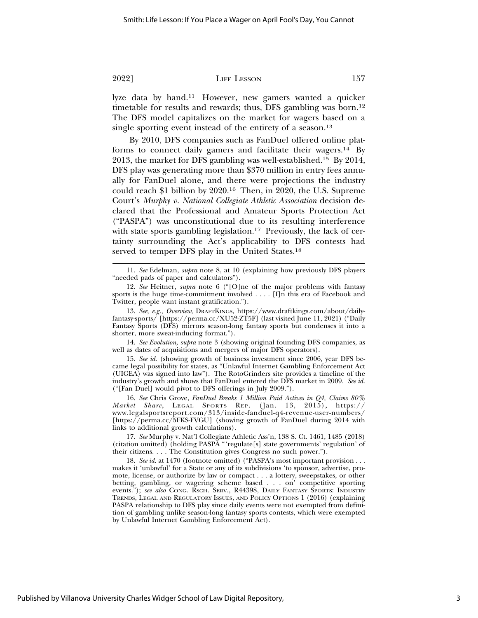lyze data by hand.11 However, new gamers wanted a quicker timetable for results and rewards; thus, DFS gambling was born.<sup>12</sup> The DFS model capitalizes on the market for wagers based on a single sporting event instead of the entirety of a season.<sup>13</sup>

By 2010, DFS companies such as FanDuel offered online platforms to connect daily gamers and facilitate their wagers.14 By 2013, the market for DFS gambling was well-established.15 By 2014, DFS play was generating more than \$370 million in entry fees annually for FanDuel alone, and there were projections the industry could reach \$1 billion by 2020.16 Then, in 2020, the U.S. Supreme Court's *Murphy v. National Collegiate Athletic Association* decision declared that the Professional and Amateur Sports Protection Act ("PASPA") was unconstitutional due to its resulting interference with state sports gambling legislation.<sup>17</sup> Previously, the lack of certainty surrounding the Act's applicability to DFS contests had served to temper DFS play in the United States.<sup>18</sup>

14. *See Evolution*, *supra* note 3 (showing original founding DFS companies, as well as dates of acquisitions and mergers of major DFS operators).

15. *See id*. (showing growth of business investment since 2006, year DFS became legal possibility for states, as "Unlawful Internet Gambling Enforcement Act (UIGEA) was signed into law"). The RotoGrinders site provides a timeline of the industry's growth and shows that FanDuel entered the DFS market in 2009. *See id.* ("[Fan Duel] would pivot to DFS offerings in July 2009.").

16. *See* Chris Grove, *FanDuel Breaks 1 Million Paid Actives in Q4, Claims 80% Market Share*, LEGAL SPORTS REP. (Jan. 13, 2015), https:// www.legalsportsreport.com/313/inside-fanduel-q4-revenue-user-numbers/ [https://perma.cc/5FKS-FVGU] (showing growth of FanDuel during 2014 with links to additional growth calculations).

17. *See* Murphy v. Nat'l Collegiate Athletic Ass'n, 138 S. Ct. 1461, 1485 (2018) (citation omitted) (holding PASPA "'regulate[s] state governments' regulation' of their citizens. . . . The Constitution gives Congress no such power.").

18. *See id.* at 1470 (footnote omitted) ("PASPA's most important provision . . . makes it 'unlawful' for a State or any of its subdivisions 'to sponsor, advertise, promote, license, or authorize by law or compact . . . a lottery, sweepstakes, or other betting, gambling, or wagering scheme based . . . on' competitive sporting events."); *see also* CONG. RSCH. SERV., R44398, DAILY FANTASY SPORTS: INDUSTRY TRENDS, LEGAL AND REGULATORY ISSUES, AND POLICY OPTIONS 1 (2016) (explaining PASPA relationship to DFS play since daily events were not exempted from definition of gambling unlike season-long fantasy sports contests, which were exempted by Unlawful Internet Gambling Enforcement Act).

<sup>11.</sup> *See* Edelman, *supra* note 8, at 10 (explaining how previously DFS players "needed pads of paper and calculators").

<sup>12.</sup> *See* Heitner, *supra* note 6 ("[O]ne of the major problems with fantasy sports is the huge time-commitment involved . . . . [I]n this era of Facebook and Twitter, people want instant gratification.").

<sup>13.</sup> *See, e.g., Overview*, DRAFTKINGS, https://www.draftkings.com/about/dailyfantasy-sports/ [https://perma.cc/XU52-ZT5F] (last visited June 11, 2021) ("Daily Fantasy Sports (DFS) mirrors season-long fantasy sports but condenses it into a shorter, more sweat-inducing format.").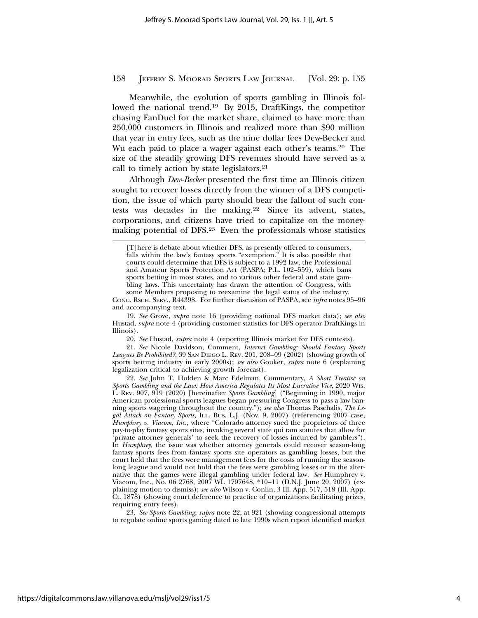Meanwhile, the evolution of sports gambling in Illinois followed the national trend.19 By 2015, DraftKings, the competitor chasing FanDuel for the market share, claimed to have more than 250,000 customers in Illinois and realized more than \$90 million that year in entry fees, such as the nine dollar fees Dew-Becker and Wu each paid to place a wager against each other's teams.<sup>20</sup> The size of the steadily growing DFS revenues should have served as a call to timely action by state legislators.21

Although *Dew-Becker* presented the first time an Illinois citizen sought to recover losses directly from the winner of a DFS competition, the issue of which party should bear the fallout of such contests was decades in the making.22 Since its advent, states, corporations, and citizens have tried to capitalize on the moneymaking potential of DFS.23 Even the professionals whose statistics

<sup>[</sup>T]here is debate about whether DFS, as presently offered to consumers, falls within the law's fantasy sports "exemption." It is also possible that courts could determine that DFS is subject to a 1992 law, the Professional and Amateur Sports Protection Act (PASPA; P.L. 102–559), which bans sports betting in most states, and to various other federal and state gambling laws. This uncertainty has drawn the attention of Congress, with some Members proposing to reexamine the legal status of the industry.

CONG. RSCH. SERV., R44398. For further discussion of PASPA, see *infra* notes 95–96 and accompanying text.

<sup>19.</sup> *See* Grove, *supra* note 16 (providing national DFS market data); *see also* Hustad, *supra* note 4 (providing customer statistics for DFS operator DraftKings in Illinois).

<sup>20.</sup> *See* Hustad, *supra* note 4 (reporting Illinois market for DFS contests).

<sup>21.</sup> *See* Nicole Davidson, Comment, *Internet Gambling: Should Fantasy Sports Leagues Be Prohibited?*, 39 SAN DIEGO L. REV. 201, 208–09 (2002) (showing growth of sports betting industry in early 2000s); *see also* Gouker, *supra* note 6 (explaining legalization critical to achieving growth forecast).

<sup>22.</sup> *See* John T. Holden & Marc Edelman, Commentary, *A Short Treatise on Sports Gambling and the Law: How America Regulates Its Most Lucrative Vice*, 2020 WIS. L. REV. 907, 919 (2020) [hereinafter *Sports Gambling*] ("Beginning in 1990, major American professional sports leagues began pressuring Congress to pass a law banning sports wagering throughout the country."); *see also* Thomas Paschalis, *The Legal Attack on Fantasy Sports,* ILL. BUS. L.J. (Nov. 9, 2007) (referencing 2007 case, *Humphrey v. Viacom, Inc.*, where "Colorado attorney sued the proprietors of three pay-to-play fantasy sports sites, invoking several state qui tam statutes that allow for 'private attorney generals' to seek the recovery of losses incurred by gamblers"). In *Humphrey*, the issue was whether attorney generals could recover season-long fantasy sports fees from fantasy sports site operators as gambling losses, but the court held that the fees were management fees for the costs of running the seasonlong league and would not hold that the fees were gambling losses or in the alternative that the games were illegal gambling under federal law. *See* Humphrey v. Viacom, Inc., No. 06 2768, 2007 WL 1797648, \*10-11 (D.N.J. June 20, 2007) (explaining motion to dismiss); *see also* Wilson v. Conlin, 3 Ill. App. 517, 518 (Ill. App. Ct. 1878) (showing court deference to practice of organizations facilitating prizes, requiring entry fees).

<sup>23.</sup> *See Sports Gambling*, *supra* note 22, at 921 (showing congressional attempts to regulate online sports gaming dated to late 1990s when report identified market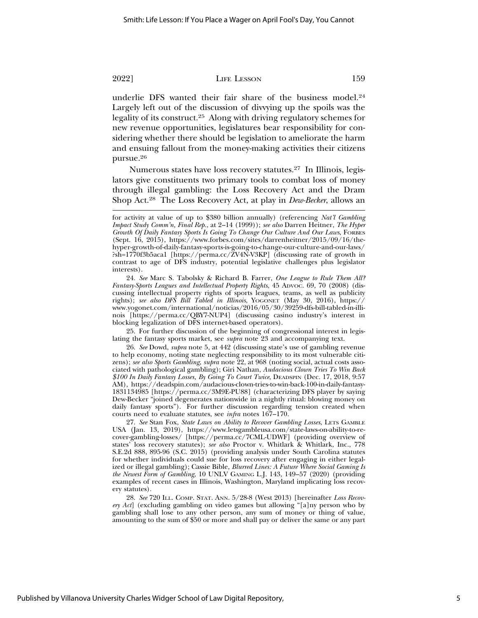underlie DFS wanted their fair share of the business model.<sup>24</sup> Largely left out of the discussion of divvying up the spoils was the legality of its construct.25 Along with driving regulatory schemes for new revenue opportunities, legislatures bear responsibility for considering whether there should be legislation to ameliorate the harm and ensuing fallout from the money-making activities their citizens pursue.26

Numerous states have loss recovery statutes.27 In Illinois, legislators give constituents two primary tools to combat loss of money through illegal gambling: the Loss Recovery Act and the Dram Shop Act.28 The Loss Recovery Act, at play in *Dew-Becker*, allows an

24. *See* Marc S. Tabolsky & Richard B. Farrer, *One League to Rule Them All? Fantasy-Sports Leagues and Intellectual Property Rights*, 45 ADVOC. 69, 70 (2008) (discussing intellectual property rights of sports leagues, teams, as well as publicity rights); *see also DFS Bill Tabled in Illinois*, YOGONET (May 30, 2016), https:// www.yogonet.com/international/noticias/2016/05/30/39259-dfs-bill-tabled-in-illinois [https://perma.cc/QBY7-NUP4] (discussing casino industry's interest in blocking legalization of DFS internet-based operators).

25. For further discussion of the beginning of congressional interest in legislating the fantasy sports market, see *supra* note 23 and accompanying text.

28. *See* 720 ILL. COMP. STAT. ANN. 5/28-8 (West 2013) [hereinafter *Loss Recovery Act*] (excluding gambling on video games but allowing "[a]ny person who by gambling shall lose to any other person, any sum of money or thing of value, amounting to the sum of \$50 or more and shall pay or deliver the same or any part

for activity at value of up to \$380 billion annually) (referencing *Nat'l Gambling Impact Study Comm'n, Final Rep.*, at 2–14 (1999)); *see also* Darren Heitner, *The Hyper Growth Of Daily Fantasy Sports Is Going To Change Our Culture And Our Laws*, FORBES (Sept. 16, 2015), https://www.forbes.com/sites/darrenheitner/2015/09/16/thehyper-growth-of-daily-fantasy-sports-is-going-to-change-our-culture-and-our-laws/ ?sh=1770f3b5aca1 [https://perma.cc/ZV4N-V3KP] (discussing rate of growth in contrast to age of DFS industry, potential legislative challenges plus legislator interests).

<sup>26.</sup> *See* Dowd, *supra* note 5, at 442 (discussing state's use of gambling revenue to help economy, noting state neglecting responsibility to its most vulnerable citizens); *see also Sports Gambling*, *supra* note 22, at 968 (noting social, actual costs associated with pathological gambling); Giri Nathan, *Audacious Clown Tries To Win Back \$100 In Daily Fantasy Losses, By Going To Court Twice*, DEADSPIN (Dec. 17, 2018, 9:57 AM), https://deadspin.com/audacious-clown-tries-to-win-back-100-in-daily-fantasy-1831134985 [https://perma.cc/3M9E-PU88] (characterizing DFS player by saying Dew-Becker "joined degenerates nationwide in a nightly ritual: blowing money on daily fantasy sports"). For further discussion regarding tension created when courts need to evaluate statutes, see *infra* notes 167–170.

<sup>27.</sup> *See* Stan Fox, *State Laws on Ability to Recover Gambling Losses*, LETS GAMBLE USA (Jan. 13, 2019), https://www.letsgambleusa.com/state-laws-on-ability-to-recover-gambling-losses/ [https://perma.cc/7CML-UDWF] (providing overview of states' loss recovery statutes); *see also* Proctor v. Whitlark & Whitlark, Inc., 778 S.E.2d 888, 895-96 (S.C. 2015) (providing analysis under South Carolina statutes for whether individuals could sue for loss recovery after engaging in either legalized or illegal gambling); Cassie Bible, *Blurred Lines: A Future Where Social Gaming Is the Newest Form of Gambling*, 10 UNLV GAMING L.J. 143, 149–57 (2020) (providing examples of recent cases in Illinois, Washington, Maryland implicating loss recovery statutes).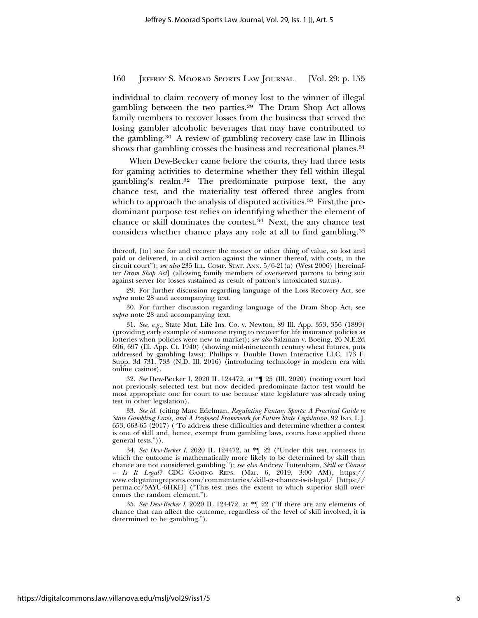individual to claim recovery of money lost to the winner of illegal gambling between the two parties.29 The Dram Shop Act allows family members to recover losses from the business that served the losing gambler alcoholic beverages that may have contributed to the gambling.30 A review of gambling recovery case law in Illinois shows that gambling crosses the business and recreational planes.<sup>31</sup>

When Dew-Becker came before the courts, they had three tests for gaming activities to determine whether they fell within illegal gambling's realm.32 The predominate purpose text, the any chance test, and the materiality test offered three angles from which to approach the analysis of disputed activities.<sup>33</sup> First, the predominant purpose test relies on identifying whether the element of chance or skill dominates the contest.34 Next, the any chance test considers whether chance plays any role at all to find gambling.35

29. For further discussion regarding language of the Loss Recovery Act, see *supra* note 28 and accompanying text.

30. For further discussion regarding language of the Dram Shop Act, see *supra* note 28 and accompanying text.

31. *See, e.g.,* State Mut. Life Ins. Co. v. Newton, 89 Ill. App. 353, 356 (1899) (providing early example of someone trying to recover for life insurance policies as lotteries when policies were new to market); *see also* Salzman v. Boeing, 26 N.E.2d 696, 697 (Ill. App. Ct. 1940) (showing mid-nineteenth century wheat futures, puts addressed by gambling laws); Phillips v. Double Down Interactive LLC, 173 F. Supp. 3d 731, 733 (N.D. Ill. 2016) (introducing technology in modern era with online casinos).

32. *See* Dew-Becker I, 2020 IL 124472, at \*¶ 25 (Ill. 2020) (noting court had not previously selected test but now decided predominate factor test would be most appropriate one for court to use because state legislature was already using test in other legislation).

33. *See id.* (citing Marc Edelman, *Regulating Fantasy Sports: A Practical Guide to State Gambling Laws, and A Proposed Framework for Future State Legislation*, 92 IND. L.J. 653, 663-65 (2017) ("To address these difficulties and determine whether a contest is one of skill and, hence, exempt from gambling laws, courts have applied three general tests.")).

34. *See Dew-Becker I*, 2020 IL 124472, at \*¶ 22 ("Under this test, contests in which the outcome is mathematically more likely to be determined by skill than chance are not considered gambling."); *see also* Andrew Tottenham, *Skill or Chance – Is It Legal?* CDC GAMING REPS. (Mar. 6, 2019, 3:00 AM), https:// www.cdcgamingreports.com/commentaries/skill-or-chance-is-it-legal/ [https:// perma.cc/5AYU-6HKH] ("This test uses the extent to which superior skill overcomes the random element.").

35. *See Dew-Becker I*, 2020 IL 124472, at \*¶ 22 ("If there are any elements of chance that can affect the outcome, regardless of the level of skill involved, it is determined to be gambling.").

thereof, [to] sue for and recover the money or other thing of value, so lost and paid or delivered, in a civil action against the winner thereof, with costs, in the circuit court"); *see also* 235 ILL. COMP. STAT. ANN. 5/6-21(a) (West 2006) [hereinafter *Dram Shop Act*] (allowing family members of overserved patrons to bring suit against server for losses sustained as result of patron's intoxicated status).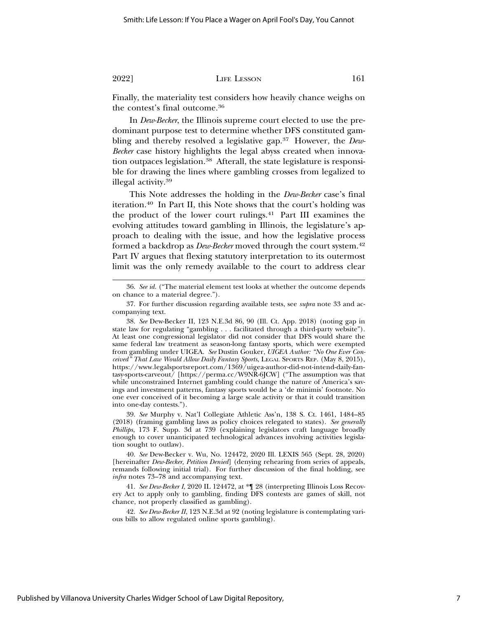Finally, the materiality test considers how heavily chance weighs on the contest's final outcome.36

In *Dew-Becker*, the Illinois supreme court elected to use the predominant purpose test to determine whether DFS constituted gambling and thereby resolved a legislative gap.37 However, the *Dew-Becker* case history highlights the legal abyss created when innovation outpaces legislation.38 Afterall, the state legislature is responsible for drawing the lines where gambling crosses from legalized to illegal activity.39

This Note addresses the holding in the *Dew-Becker* case's final iteration.40 In Part II, this Note shows that the court's holding was the product of the lower court rulings.41 Part III examines the evolving attitudes toward gambling in Illinois, the legislature's approach to dealing with the issue, and how the legislative process formed a backdrop as *Dew-Becker* moved through the court system.42 Part IV argues that flexing statutory interpretation to its outermost limit was the only remedy available to the court to address clear

39. *See* Murphy v. Nat'l Collegiate Athletic Ass'n, 138 S. Ct. 1461, 1484–85 (2018) (framing gambling laws as policy choices relegated to states). *See generally Phillips*, 173 F. Supp. 3d at 739 (explaining legislators craft language broadly enough to cover unanticipated technological advances involving activities legislation sought to outlaw).

40. *See* Dew-Becker v. Wu, No. 124472, 2020 Ill. LEXIS 565 (Sept. 28, 2020) [hereinafter *Dew-Becker, Petition Denied*] (denying rehearing from series of appeals, remands following initial trial). For further discussion of the final holding, see *infra* notes 73–78 and accompanying text.

41. *See Dew-Becker I*, 2020 IL 124472, at \*¶ 28 (interpreting Illinois Loss Recovery Act to apply only to gambling, finding DFS contests are games of skill, not chance, not properly classified as gambling).

42. *See Dew-Becker II*, 123 N.E.3d at 92 (noting legislature is contemplating various bills to allow regulated online sports gambling).

<sup>36.</sup> *See id.* ("The material element test looks at whether the outcome depends on chance to a material degree.").

<sup>37.</sup> For further discussion regarding available tests, see *supra* note 33 and accompanying text.

<sup>38.</sup> *See* Dew-Becker II, 123 N.E.3d 86, 90 (Ill. Ct. App. 2018) (noting gap in state law for regulating "gambling . . . facilitated through a third-party website"). At least one congressional legislator did not consider that DFS would share the same federal law treatment as season-long fantasy sports, which were exempted from gambling under UIGEA. *See* Dustin Gouker, *UIGEA Author: "No One Ever Conceived" That Law Would Allow Daily Fantasy Sports*, LEGAL SPORTS REP. (May 8, 2015), https://www.legalsportsreport.com/1369/uigea-author-did-not-intend-daily-fantasy-sports-carveout/ [https://perma.cc/W9NR-6JCW] ("The assumption was that while unconstrained Internet gambling could change the nature of America's savings and investment patterns, fantasy sports would be a 'de minimis' footnote. No one ever conceived of it becoming a large scale activity or that it could transition into one-day contests.").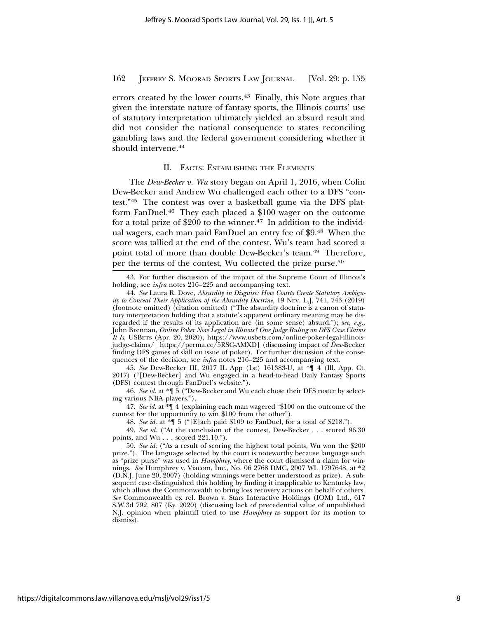errors created by the lower courts.<sup>43</sup> Finally, this Note argues that given the interstate nature of fantasy sports, the Illinois courts' use of statutory interpretation ultimately yielded an absurd result and did not consider the national consequence to states reconciling gambling laws and the federal government considering whether it should intervene.44

### II. FACTS: ESTABLISHING THE ELEMENTS

The *Dew-Becker v. Wu* story began on April 1, 2016, when Colin Dew-Becker and Andrew Wu challenged each other to a DFS "contest."45 The contest was over a basketball game via the DFS platform FanDuel.46 They each placed a \$100 wager on the outcome for a total prize of \$200 to the winner.<sup>47</sup> In addition to the individual wagers, each man paid FanDuel an entry fee of \$9.48 When the score was tallied at the end of the contest, Wu's team had scored a point total of more than double Dew-Becker's team.49 Therefore, per the terms of the contest, Wu collected the prize purse.50

45. *See* Dew-Becker III, 2017 IL App (1st) 161383-U, at \*¶ 4 (Ill. App. Ct. 2017) ("[Dew-Becker] and Wu engaged in a head-to-head Daily Fantasy Sports (DFS) contest through FanDuel's website.").

46. *See id.* at \*¶ 5 ("Dew-Becker and Wu each chose their DFS roster by selecting various NBA players.").

47. *See id.* at \*¶ 4 (explaining each man wagered "\$100 on the outcome of the contest for the opportunity to win \$100 from the other").

48. *See id.* at \*¶ 5 ("[E]ach paid \$109 to FanDuel, for a total of \$218.").

49. *See id.* ("At the conclusion of the contest, Dew-Becker . . . scored 96.30 points, and Wu . . . scored 221.10.").

<sup>43.</sup> For further discussion of the impact of the Supreme Court of Illinois's holding, see *infra* notes 216–225 and accompanying text.

<sup>44.</sup> *See* Laura R. Dove, *Absurdity in Disguise: How Courts Create Statutory Ambiguity to Conceal Their Application of the Absurdity Doctrine*, 19 NEV. L.J. 741, 743 (2019) (footnote omitted) (citation omitted) ("The absurdity doctrine is a canon of statutory interpretation holding that a statute's apparent ordinary meaning may be disregarded if the results of its application are (in some sense) absurd."); s*ee, e.g.,* John Brennan, *Online Poker Now Legal in Illinois? One Judge Ruling on DFS Case Claims It Is*, USBETS (Apr. 20, 2020), https://www.usbets.com/online-poker-legal-illinoisjudge-claims/ [https://perma.cc/5RSC-AMXD] (discussing impact of *Dew-*Becker finding DFS games of skill on issue of poker). For further discussion of the consequences of the decision, see *infra* notes 216-225 and accompanying text.

<sup>50.</sup> *See id.* ("As a result of scoring the highest total points, Wu won the \$200 prize."). The language selected by the court is noteworthy because language such as "prize purse" was used in *Humphrey*, where the court dismissed a claim for winnings. *See* Humphrey v. Viacom, Inc., No. 06 2768 DMC, 2007 WL 1797648, at \*2 (D.N.J. June 20, 2007) (holding winnings were better understood as prize). A subsequent case distinguished this holding by finding it inapplicable to Kentucky law, which allows the Commonwealth to bring loss recovery actions on behalf of others. *See* Commonwealth ex rel. Brown v. Stars Interactive Holdings (IOM) Ltd., 617 S.W.3d 792, 807 (Ky. 2020) (discussing lack of precedential value of unpublished N.J. opinion when plaintiff tried to use *Humphrey* as support for its motion to dismiss).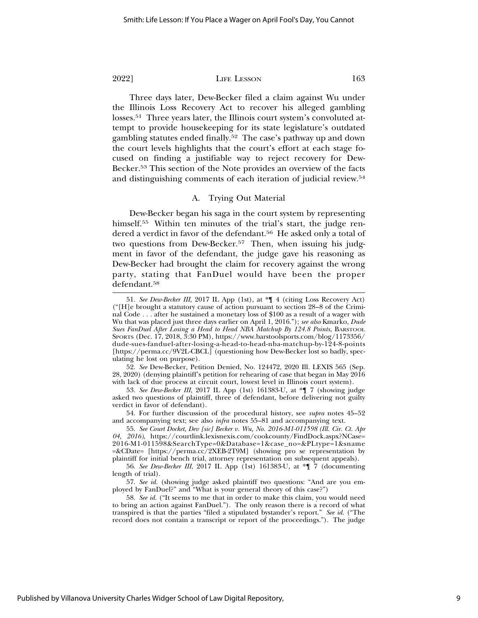Three days later, Dew-Becker filed a claim against Wu under the Illinois Loss Recovery Act to recover his alleged gambling losses.51 Three years later, the Illinois court system's convoluted attempt to provide housekeeping for its state legislature's outdated gambling statutes ended finally.52 The case's pathway up and down the court levels highlights that the court's effort at each stage focused on finding a justifiable way to reject recovery for Dew-Becker.53 This section of the Note provides an overview of the facts and distinguishing comments of each iteration of judicial review.54

# A. Trying Out Material

Dew-Becker began his saga in the court system by representing himself.<sup>55</sup> Within ten minutes of the trial's start, the judge rendered a verdict in favor of the defendant.<sup>56</sup> He asked only a total of two questions from Dew-Becker.<sup>57</sup> Then, when issuing his judgment in favor of the defendant, the judge gave his reasoning as Dew-Becker had brought the claim for recovery against the wrong party, stating that FanDuel would have been the proper defendant.58

<sup>51.</sup> *See Dew-Becker III*, 2017 IL App (1st), at \*¶ 4 (citing Loss Recovery Act) ("[H]e brought a statutory cause of action pursuant to section 28–8 of the Criminal Code . . . after he sustained a monetary loss of \$100 as a result of a wager with Wu that was placed just three days earlier on April 1, 2016."); *see also* Kmarko, *Dude Sues FanDuel After Losing a Head to Head NBA Matchup By 124.8 Points*, BARSTOOL SPORTS (Dec. 17, 2018, 3:30 PM), https://www.barstoolsports.com/blog/1173356/ dude-sues-fanduel-after-losing-a-head-to-head-nba-matchup-by-124-8-points [https://perma.cc/9V2L-CBCL] (questioning how Dew-Becker lost so badly, speculating he lost on purpose).

<sup>52.</sup> *See* Dew-Becker, Petition Denied, No. 124472, 2020 Ill. LEXIS 565 (Sep. 28, 2020) (denying plaintiff's petition for rehearing of case that began in May 2016 with lack of due process at circuit court, lowest level in Illinois court system).

<sup>53.</sup> *See Dew-Becker III*, 2017 IL App (1st) 161383-U, at \*¶ 7 (showing judge asked two questions of plaintiff, three of defendant, before delivering not guilty verdict in favor of defendant).

<sup>54.</sup> For further discussion of the procedural history, see *supra* notes 45–52 and accompanying text; see also *infra* notes 55–81 and accompanying text.

<sup>55.</sup> *See Court Docket, Dev [sic] Becker v. Wu, No. 2016-M1-011598 (Ill. Cir. Ct. Apr 04, 2016)*, https://courtlink.lexisnexis.com/cookcounty/FindDock.aspx?NCase= 2016-M1-011598&SearchType=0&Database=1&case\_no=&PLtype=1&sname =&CDate= [https://perma.cc/2XEB-2T9M] (showing pro se representation by plaintiff for initial bench trial, attorney representation on subsequent appeals).

<sup>56.</sup> *See Dew-Becker III*, 2017 IL App (1st) 161383-U, at \*¶ 7 (documenting length of trial).

<sup>57.</sup> *See id.* (showing judge asked plaintiff two questions: "And are you employed by FanDuel?" and "What is your general theory of this case?")

<sup>58.</sup> *See id.* ("It seems to me that in order to make this claim, you would need to bring an action against FanDuel."). The only reason there is a record of what transpired is that the parties "filed a stipulated bystander's report." *See id.* ("The record does not contain a transcript or report of the proceedings."). The judge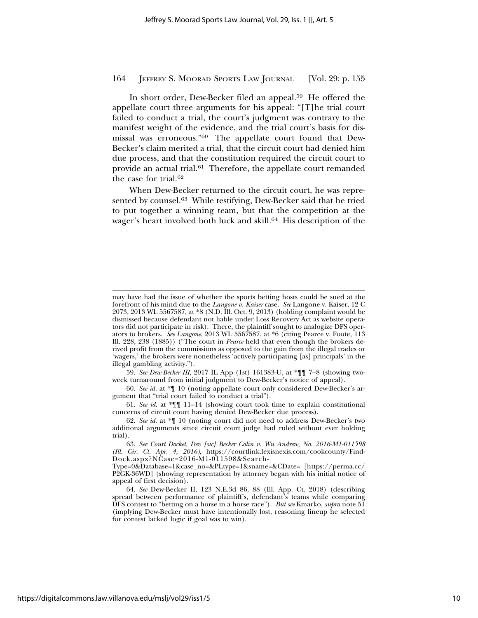In short order, Dew-Becker filed an appeal.59 He offered the appellate court three arguments for his appeal: "[T]he trial court failed to conduct a trial, the court's judgment was contrary to the manifest weight of the evidence, and the trial court's basis for dismissal was erroneous."60 The appellate court found that Dew-Becker's claim merited a trial, that the circuit court had denied him due process, and that the constitution required the circuit court to provide an actual trial.<sup>61</sup> Therefore, the appellate court remanded the case for trial.62

When Dew-Becker returned to the circuit court, he was represented by counsel.<sup>63</sup> While testifying, Dew-Becker said that he tried to put together a winning team, but that the competition at the wager's heart involved both luck and skill.64 His description of the

59. *See Dew-Becker III*, 2017 IL App (1st) 161383-U, at \*¶¶ 7–8 (showing twoweek turnaround from initial judgment to Dew-Becker's notice of appeal).

60. *See id.* at \*¶ 10 (noting appellate court only considered Dew-Becker's argument that "trial court failed to conduct a trial").

61. *See id.* at \*¶¶ 11–14 (showing court took time to explain constitutional concerns of circuit court having denied Dew-Becker due process).

62. *See id.* at \*¶ 10 (noting court did not need to address Dew-Becker's two additional arguments since circuit court judge had ruled without ever holding trial).

63. *See Court Docket, Dev [sic] Becker Colin v. Wu Andrew, No. 2016-M1-011598 (Ill. Cir. Ct. Apr. 4, 2016),* https://courtlink.lexisnexis.com/cookcounty/Find-Dock.aspx?NCase=2016-M1-011598&Search-

Type=0&Database=1&case\_no=&PLtype=1&sname=&CDate= [https://perma.cc/ P2GK-36WD] (showing representation by attorney began with his initial notice of appeal of first decision).

64. *See* Dew-Becker II, 123 N.E.3d 86, 88 (Ill. App. Ct. 2018) (describing spread between performance of plaintiff's, defendant's teams while comparing DFS contest to "betting on a horse in a horse race"). *But see* Kmarko, *supra* note 51 (implying Dew-Becker must have intentionally lost, reasoning lineup he selected for contest lacked logic if goal was to win).

may have had the issue of whether the sports betting hosts could be sued at the forefront of his mind due to the *Langone v. Kaiser* case. *See* Langone v. Kaiser, 12 C 2073, 2013 WL 5567587, at \*8 (N.D. Ill. Oct. 9, 2013) (holding complaint would be dismissed because defendant not liable under Loss Recovery Act as website operators did not participate in risk). There, the plaintiff sought to analogize DFS operators to brokers. *See Langone*, 2013 WL 5567587, at \*6 (citing Pearce v. Foote, 113 Ill. 228, 238 (1885)) ("The court in *Pearce* held that even though the brokers derived profit from the commissions as opposed to the gain from the illegal trades or 'wagers,' the brokers were nonetheless 'actively participating [as] principals' in the illegal gambling activity.").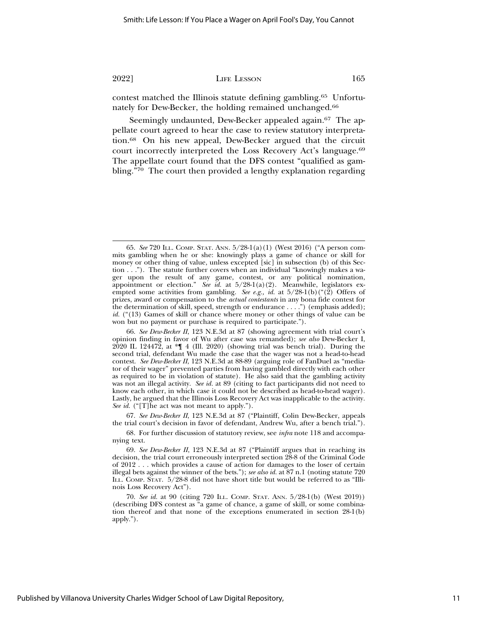contest matched the Illinois statute defining gambling.65 Unfortunately for Dew-Becker, the holding remained unchanged.66

Seemingly undaunted, Dew-Becker appealed again.<sup>67</sup> The appellate court agreed to hear the case to review statutory interpretation.68 On his new appeal, Dew-Becker argued that the circuit court incorrectly interpreted the Loss Recovery Act's language.69 The appellate court found that the DFS contest "qualified as gambling."70 The court then provided a lengthy explanation regarding

67. *See Dew-Becker II*, 123 N.E.3d at 87 ("Plaintiff, Colin Dew-Becker, appeals the trial court's decision in favor of defendant, Andrew Wu, after a bench trial.").

68. For further discussion of statutory review, see *infra* note 118 and accompanying text.

<sup>65.</sup> *See* 720 ILL. COMP. STAT. ANN. 5/28-1(a)(1) (West 2016) ("A person commits gambling when he or she: knowingly plays a game of chance or skill for money or other thing of value, unless excepted [sic] in subsection (b) of this Section . . ."). The statute further covers when an individual "knowingly makes a wager upon the result of any game, contest, or any political nomination, appointment or election." *See id.* at 5/28-1(a)(2). Meanwhile, legislators exempted some activities from gambling. *See e.g., id.* at  $5/28-1(b)((\text{``}(\text{2})$  Offers of prizes, award or compensation to the *actual contestants* in any bona fide contest for the determination of skill, speed, strength or endurance . . . .") (emphasis added); *id.* ("(13) Games of skill or chance where money or other things of value can be won but no payment or purchase is required to participate.").

<sup>66.</sup> *See Dew-Becker II*, 123 N.E.3d at 87 (showing agreement with trial court's opinion finding in favor of Wu after case was remanded); *see also* Dew-Becker I,  $2020$  IL 124472, at  $\mathbb{I}$  4 (Ill. 2020) (showing trial was bench trial). During the second trial, defendant Wu made the case that the wager was not a head-to-head contest. *See Dew-Becker II*, 123 N.E.3d at 88-89 (arguing role of FanDuel as "mediator of their wager" prevented parties from having gambled directly with each other as required to be in violation of statute). He also said that the gambling activity was not an illegal activity. *See id.* at 89 (citing to fact participants did not need to know each other, in which case it could not be described as head-to-head wager). Lastly, he argued that the Illinois Loss Recovery Act was inapplicable to the activity. *See id.* ("[T]he act was not meant to apply.").

<sup>69.</sup> *See Dew-Becker II*, 123 N.E.3d at 87 ("Plaintiff argues that in reaching its decision, the trial court erroneously interpreted section 28-8 of the Criminal Code of 2012 . . . which provides a cause of action for damages to the loser of certain illegal bets against the winner of the bets."); *see also id.* at 87 n.1 (noting statute 720 ILL. COMP. STAT. 5/28-8 did not have short title but would be referred to as "Illinois Loss Recovery Act").

<sup>70.</sup> *See id.* at 90 (citing 720 ILL. COMP. STAT. ANN. 5/28-1(b) (West 2019)) (describing DFS contest as "a game of chance, a game of skill, or some combination thereof and that none of the exceptions enumerated in section 28-1(b) apply.").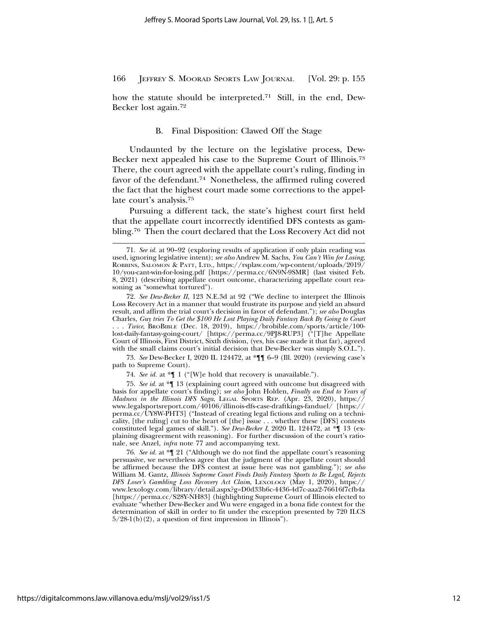how the statute should be interpreted.<sup>71</sup> Still, in the end, Dew-Becker lost again.72

#### B. Final Disposition: Clawed Off the Stage

Undaunted by the lecture on the legislative process, Dew-Becker next appealed his case to the Supreme Court of Illinois.73 There, the court agreed with the appellate court's ruling, finding in favor of the defendant.<sup>74</sup> Nonetheless, the affirmed ruling covered the fact that the highest court made some corrections to the appellate court's analysis.75

Pursuing a different tack, the state's highest court first held that the appellate court incorrectly identified DFS contests as gambling.76 Then the court declared that the Loss Recovery Act did not

73. *See* Dew-Becker I, 2020 IL 124472, at \*¶¶ 6–9 (Ill. 2020) (reviewing case's path to Supreme Court).

74. *See id.* at \*¶ 1 ("[W]e hold that recovery is unavailable.").

75. *See id.* at \*¶ 13 (explaining court agreed with outcome but disagreed with basis for appellate court's finding); *see also* John Holden, *Finally an End to Years of Madness in the Illinois DFS Saga*, LEGAL SPORTS REP. (Apr. 23, 2020), https:// www.legalsportsreport.com/40106/illinois-dfs-case-draftkings-fanduel/ [https:// perma.cc/UY8W-PHT3] ("Instead of creating legal fictions and ruling on a technicality, [the ruling] cut to the heart of [the] issue . . . whether these [DFS] contests constituted legal games of skill."). *See Dew-Becker I*, 2020 IL 124472, at \*¶ 13 (explaining disagreement with reasoning). For further discussion of the court's rationale, see Anzel, *infra* note 77 and accompanying text.

76. *See id.* at \*¶ 21 ("Although we do not find the appellate court's reasoning persuasive, we nevertheless agree that the judgment of the appellate court should be affirmed because the DFS contest at issue here was not gambling."); *see also* William M. Gantz, *Illinois Supreme Court Finds Daily Fantasy Sports to Be Legal, Rejects DFS Loser's Gambling Loss Recovery Act Claim*, LEXOLOGY (May 1, 2020), https:// www.lexology.com/library/detail.aspx?g=D0d33b6c-4436-4d7c-aaa2-76616f7cfb4a [https://perma.cc/S28Y-NH83] (highlighting Supreme Court of Illinois elected to evaluate "whether Dew-Becker and Wu were engaged in a bona fide contest for the determination of skill in order to fit under the exception presented by 720 ILCS  $5/28-1(b)(2)$ , a question of first impression in Illinois").

<sup>71.</sup> *See id.* at 90–92 (exploring results of application if only plain reading was used, ignoring legislative intent); *see also* Andrew M. Sachs, *You Can't Win for Losing*, ROBBINS, SALOMON & PATT, LTD., https://rsplaw.com/wp-content/uploads/2019/ 10/you-cant-win-for-losing.pdf [https://perma.cc/6N9N-9SMR] (last visited Feb. 8, 2021) (describing appellate court outcome, characterizing appellate court reasoning as "somewhat tortured").

<sup>72.</sup> *See Dew-Becker II*, 123 N.E.3d at 92 ("We decline to interpret the Illinois Loss Recovery Act in a manner that would frustrate its purpose and yield an absurd result, and affirm the trial court's decision in favor of defendant."); *see also* Douglas Charles, *Guy tries To Get the \$100 He Lost Playing Daily Fantasy Back By Going to Court* . . . *Twice*, BROBIBLE (Dec. 18, 2019), https://brobible.com/sports/article/100 lost-daily-fantasy-going-court/ [https://perma.cc/9PJ8-RUP3] ("[T]he Appellate Court of Illinois, First District, Sixth division, (yes, his case made it that far), agreed with the small claims court's initial decision that Dew-Becker was simply S.O.L.").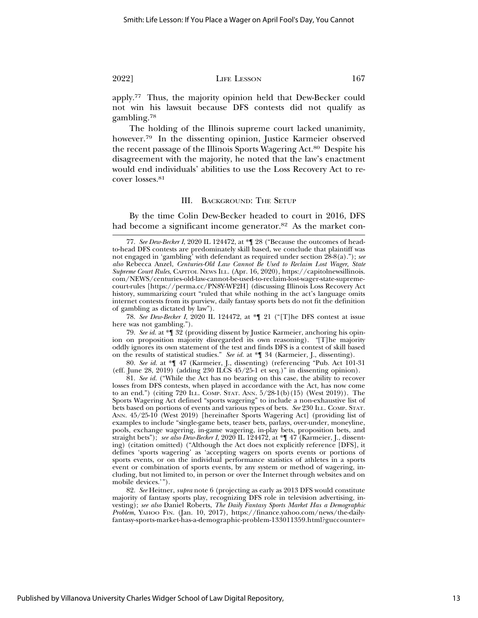apply.77 Thus, the majority opinion held that Dew-Becker could not win his lawsuit because DFS contests did not qualify as

gambling.78 The holding of the Illinois supreme court lacked unanimity, however.<sup>79</sup> In the dissenting opinion, Justice Karmeier observed the recent passage of the Illinois Sports Wagering Act.80 Despite his disagreement with the majority, he noted that the law's enactment would end individuals' abilities to use the Loss Recovery Act to recover losses.<sup>81</sup>

#### III. BACKGROUND: THE SETUP

By the time Colin Dew-Becker headed to court in 2016, DFS had become a significant income generator.<sup>82</sup> As the market con-

78. *See Dew-Becker I*, 2020 IL 124472, at \*¶ 21 ("[T]he DFS contest at issue here was not gambling.").

80. *See id.* at \*¶ 47 (Karmeier, J., dissenting) (referencing "Pub. Act 101-31 (eff. June 28, 2019) (adding 230 ILCS 45/25-1 et seq.)" in dissenting opinion).

81. *See id.* ("While the Act has no bearing on this case, the ability to recover losses from DFS contests, when played in accordance with the Act, has now come to an end.") (citing 720 ILL. COMP. STAT. ANN. 5/28-1(b)(15) (West 2019)). The Sports Wagering Act defined "sports wagering" to include a non-exhaustive list of bets based on portions of events and various types of bets. *See* 230 ILL. COMP. STAT. ANN. 45/25-10 (West 2019) [hereinafter Sports Wagering Act] (providing list of examples to include "single-game bets, teaser bets, parlays, over-under, moneyline, pools, exchange wagering, in-game wagering, in-play bets, proposition bets, and straight bets"); *see also Dew-Becker I*, 2020 IL 124472, at \*¶ 47 (Karmeier, J., dissenting) (citation omitted) ("Although the Act does not explicitly reference [DFS], it defines 'sports wagering' as 'accepting wagers on sports events or portions of sports events, or on the individual performance statistics of athletes in a sports event or combination of sports events, by any system or method of wagering, including, but not limited to, in person or over the Internet through websites and on mobile devices.'").

82. *See* Heitner, *supra* note 6 (projecting as early as 2013 DFS would constitute majority of fantasy sports play, recognizing DFS role in television advertising, investing); *see also* Daniel Roberts, *The Daily Fantasy Sports Market Has a Demographic Problem*, YAHOO FIN. (Jan. 10, 2017), https://finance.yahoo.com/news/the-dailyfantasy-sports-market-has-a-demographic-problem-133011359.html?guccounter=

<sup>77.</sup> *See Dew-Becker I*, 2020 IL 124472, at \*¶ 28 ("Because the outcomes of headto-head DFS contests are predominately skill based, we conclude that plaintiff was not engaged in 'gambling' with defendant as required under section 28-8(a)."); *see also* Rebecca Anzel, *Centuries-Old Law Cannot Be Used to Reclaim Lost Wager, State Supreme Court Rules*, CAPITOL NEWS ILL. (Apr. 16, 2020), https://capitolnewsillinois. com/NEWS/centuries-old-law-cannot-be-used-to-reclaim-lost-wager-state-supremecourt-rules [https://perma.cc/PN8Y-WF2H] (discussing Illinois Loss Recovery Act history, summarizing court "ruled that while nothing in the act's language omits internet contests from its purview, daily fantasy sports bets do not fit the definition of gambling as dictated by law").

<sup>79.</sup> *See id.* at \*¶ 32 (providing dissent by Justice Karmeier, anchoring his opinion on proposition majority disregarded its own reasoning). *"*[T]he majority oddly ignores its own statement of the test and finds DFS is a contest of skill based on the results of statistical studies." *See id.* at \*¶ 34 (Karmeier, J., dissenting).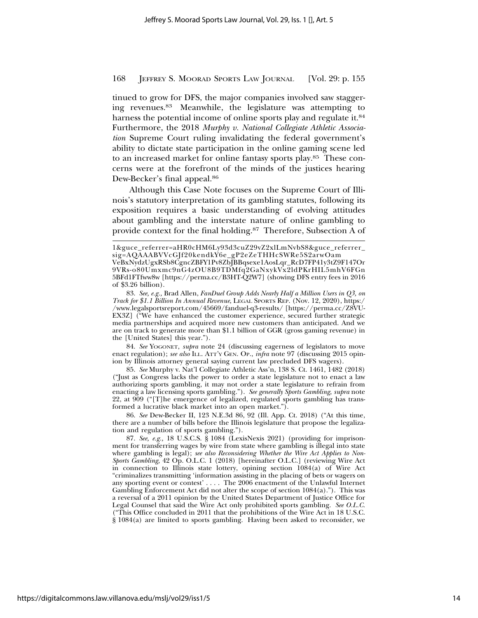tinued to grow for DFS, the major companies involved saw staggering revenues.83 Meanwhile, the legislature was attempting to harness the potential income of online sports play and regulate it.<sup>84</sup> Furthermore, the 2018 *Murphy v. National Collegiate Athletic Association* Supreme Court ruling invalidating the federal government's ability to dictate state participation in the online gaming scene led to an increased market for online fantasy sports play.85 These concerns were at the forefront of the minds of the justices hearing Dew-Becker's final appeal.86

Although this Case Note focuses on the Supreme Court of Illinois's statutory interpretation of its gambling statutes, following its exposition requires a basic understanding of evolving attitudes about gambling and the interstate nature of online gambling to provide context for the final holding.<sup>87</sup> Therefore, Subsection A of

84. *See* YOGONET, *supra* note 24 (discussing eagerness of legislators to move enact regulation); *see also* ILL. ATT'Y GEN. OP., *infra* note 97 (discussing 2015 opinion by Illinois attorney general saying current law precluded DFS wagers).

85. *See* Murphy v. Nat'l Collegiate Athletic Ass'n, 138 S. Ct. 1461, 1482 (2018) ("Just as Congress lacks the power to order a state legislature not to enact a law authorizing sports gambling, it may not order a state legislature to refrain from enacting a law licensing sports gambling."). *See generally Sports Gambling*, *supra* note 22, at 909 ("[T]he emergence of legalized, regulated sports gambling has transformed a lucrative black market into an open market.").

86. *See* Dew-Becker II, 123 N.E.3d 86, 92 (Ill. App. Ct. 2018) ("At this time, there are a number of bills before the Illinois legislature that propose the legalization and regulation of sports gambling.").

<sup>1&</sup>amp;guce\_referrer=aHR0cHM6Ly93d3cuZ29vZ2xlLmNvbS8&guce\_referrer\_ sig=AQAAABVVcGJf20kendkY6e\_gP2eZeTHHcSWRe5S2arwOam VeBxNydzUgxRSb8CgncZBFY1Pv8ZbJBBqsexe1AosLqr\_RcD7FP41y3tZ9F147Or 9VRs-o80Umxmc9nG4zOU8B9TDMfq2GaNxykVx2ldPKrHIL5mhV6FGn 5BFd1FTfww8w [https://perma.cc/B3HT-Q2W7] (showing DFS entry fees in 2016 of \$3.26 billion).

<sup>83.</sup> *See, e.g.,* Brad Allen, *FanDuel Group Adds Nearly Half a Million Users in Q3, on Track for \$1.1 Billion In Annual Revenue*, LEGAL SPORTS REP. (Nov. 12, 2020), https:/ /www.legalsportsreport.com/45669/fanduel-q3-results/ [https://perma.cc/Z8VU-EX3Z] ("We have enhanced the customer experience, secured further strategic media partnerships and acquired more new customers than anticipated. And we are on track to generate more than \$1.1 billion of GGR (gross gaming revenue) in the [United States] this year.").

<sup>87.</sup> *See, e.g.,* 18 U.S.C.S. § 1084 (LexisNexis 2021) (providing for imprisonment for transferring wages by wire from state where gambling is illegal into state where gambling is legal); *see also Reconsidering Whether the Wire Act Applies to Non-Sports Gambling*, 42 Op. O.L.C. 1 (2018) [hereinafter O.L.C.] (reviewing Wire Act in connection to Illinois state lottery, opining section 1084(a) of Wire Act "criminalizes transmitting 'information assisting in the placing of bets or wagers on any sporting event or contest' . . . . The 2006 enactment of the Unlawful Internet Gambling Enforcement Act did not alter the scope of section  $1084(a)$ ."). This was a reversal of a 2011 opinion by the United States Department of Justice Office for Legal Counsel that said the Wire Act only prohibited sports gambling. *See O.L.C.* ("This Office concluded in 2011 that the prohibitions of the Wire Act in 18 U.S.C. § 1084(a) are limited to sports gambling. Having been asked to reconsider, we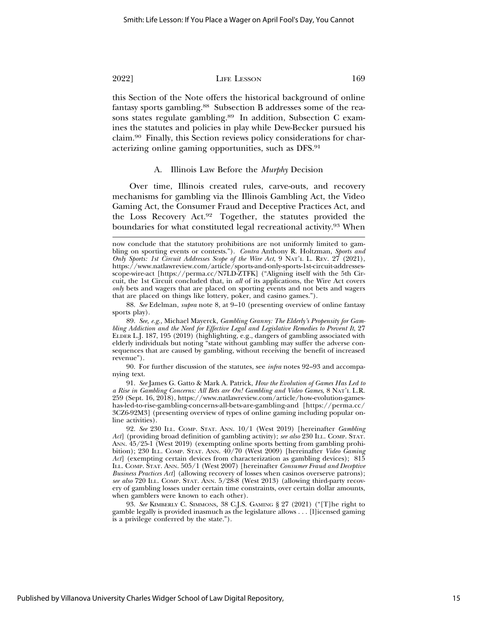this Section of the Note offers the historical background of online fantasy sports gambling.88 Subsection B addresses some of the reasons states regulate gambling.<sup>89</sup> In addition, Subsection C examines the statutes and policies in play while Dew-Becker pursued his claim.90 Finally, this Section reviews policy considerations for characterizing online gaming opportunities, such as DFS.91

#### A. Illinois Law Before the *Murphy* Decision

Over time, Illinois created rules, carve-outs, and recovery mechanisms for gambling via the Illinois Gambling Act, the Video Gaming Act, the Consumer Fraud and Deceptive Practices Act, and the Loss Recovery Act.92 Together, the statutes provided the boundaries for what constituted legal recreational activity.<sup>93</sup> When

now conclude that the statutory prohibitions are not uniformly limited to gambling on sporting events or contests."). *Contra* Anthony R. Holtzman, *Sports and Only Sports: 1st Circuit Addresses Scope of the Wire Act*, 9 NAT'L L. REV. 27 (2021), https://www.natlawreview.com/article/sports-and-only-sports-1st-circuit-addressesscope-wire-act [https://perma.cc/N7LD-ZTFK] ("Aligning itself with the 5th Circuit, the 1st Circuit concluded that, in *all* of its applications, the Wire Act covers *only* bets and wagers that are placed on sporting events and not bets and wagers that are placed on things like lottery, poker, and casino games.").

<sup>88.</sup> *See* Edelman, *supra* note 8, at 9–10 (presenting overview of online fantasy sports play).

<sup>89.</sup> *See, e.g.,* Michael Mayerck, *Gambling Granny: The Elderly's Propensity for Gambling Addiction and the Need for Effective Legal and Legislative Remedies to Prevent It*, 27 ELDER L.J. 187, 195 (2019) (highlighting, e.g., dangers of gambling associated with elderly individuals but noting "state without gambling may suffer the adverse consequences that are caused by gambling, without receiving the benefit of increased revenue").

<sup>90.</sup> For further discussion of the statutes, see *infra* notes 92–93 and accompanying text.

<sup>91.</sup> *See* James G. Gatto & Mark A. Patrick, *How the Evolution of Games Has Led to a Rise in Gambling Concerns: All Bets are On! Gambling and Video Games*, 8 NAT'L L.R. 259 (Sept. 16, 2018), https://www.natlawreview.com/article/how-evolution-gameshas-led-to-rise-gambling-concerns-all-bets-are-gambling-and [https://perma.cc/ 3CZ6-92M3] (presenting overview of types of online gaming including popular online activities).

<sup>92.</sup> *See* 230 ILL. COMP. STAT. ANN. 10/1 (West 2019) [hereinafter *Gambling Act*] (providing broad definition of gambling activity); *see also* 230 ILL. COMP. STAT. ANN. 45/25-1 (West 2019) (exempting online sports betting from gambling prohibition); 230 ILL. COMP. STAT. ANN. 40/70 (West 2009) [hereinafter *Video Gaming Act*] (exempting certain devices from characterization as gambling devices); 815 ILL. COMP. STAT. ANN. 505/1 (West 2007) [hereinafter *Consumer Fraud and Deceptive Business Practices Act*] (allowing recovery of losses when casinos overserve patrons); *see also* 720 ILL. COMP. STAT. ANN. 5/28-8 (West 2013) (allowing third-party recovery of gambling losses under certain time constraints, over certain dollar amounts, when gamblers were known to each other).

<sup>93.</sup> *See* KIMBERLY C. SIMMONS*,* 38 C.J.S. GAMING § 27 (2021) ("[T]he right to gamble legally is provided inasmuch as the legislature allows . . . [l]icensed gaming is a privilege conferred by the state.").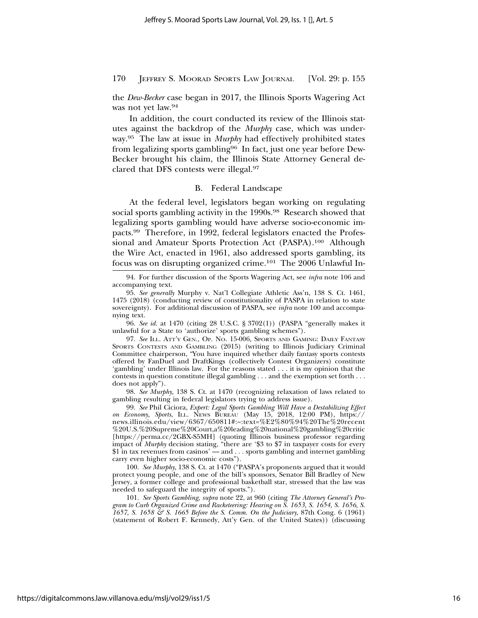the *Dew-Becker* case began in 2017, the Illinois Sports Wagering Act was not yet law.94

In addition, the court conducted its review of the Illinois statutes against the backdrop of the *Murphy* case, which was underway.95 The law at issue in *Murphy* had effectively prohibited states from legalizing sports gambling96 In fact, just one year before Dew-Becker brought his claim, the Illinois State Attorney General declared that DFS contests were illegal.97

# B. Federal Landscape

At the federal level, legislators began working on regulating social sports gambling activity in the 1990s.<sup>98</sup> Research showed that legalizing sports gambling would have adverse socio-economic impacts.99 Therefore, in 1992, federal legislators enacted the Professional and Amateur Sports Protection Act (PASPA).100 Although the Wire Act, enacted in 1961, also addressed sports gambling, its focus was on disrupting organized crime.101 The 2006 Unlawful In-

96. *See id.* at 1470 (citing 28 U.S.C. § 3702(1)) (PASPA "generally makes it unlawful for a State to 'authorize' sports gambling schemes").

97. *See* ILL. ATT'Y GEN., OP. NO. 15-006, SPORTS AND GAMING: DAILY FANTASY SPORTS CONTESTS AND GAMBLING (2015) (writing to Illinois Judiciary Criminal Committee chairperson, "You have inquired whether daily fantasy sports contests offered by FanDuel and DraftKings (collectively Contest Organizers) constitute 'gambling' under Illinois law. For the reasons stated . . . it is my opinion that the contests in question constitute illegal gambling . . . and the exemption set forth . . . does not apply").

98. *See Murphy*, 138 S. Ct. at 1470 (recognizing relaxation of laws related to gambling resulting in federal legislators trying to address issue).

99. *See* Phil Ciciora, *Expert: Legal Sports Gambling Will Have a Destabilizing Effect on Economy, Sports*, ILL. NEWS BUREAU (May 15, 2018, 12:00 PM), https:// news.illinois.edu/view/6367/650811#:~:text=%E2%80%94%20The%20recent %20U.S.%20Supreme%20Court,a%20leading%20national%20gambling%20critic [https://perma.cc/2GBX-S5MH] (quoting Illinois business professor regarding impact of *Murphy* decision stating, "there are '\$3 to \$7 in taxpayer costs for every \$1 in tax revenues from casinos' — and . . . sports gambling and internet gambling carry even higher socio-economic costs").

100. *See Murphy*, 138 S. Ct. at 1470 ("PASPA's proponents argued that it would protect young people, and one of the bill's sponsors, Senator Bill Bradley of New Jersey, a former college and professional basketball star, stressed that the law was needed to safeguard the integrity of sports.").

101. *See Sports Gambling*, *supra* note 22, at 960 (citing *The Attorney General's Program to Curb Organized Crime and Racketeering: Hearing on S. 1653, S. 1654, S. 1656, S. 1657, S. 1658 & S. 1665 Before the S. Comm. On the Judiciary*, 87th Cong. 6 (1961) (statement of Robert F. Kennedy, Att'y Gen. of the United States)) (discussing

<sup>94.</sup> For further discussion of the Sports Wagering Act, see *infra* note 106 and accompanying text.

<sup>95.</sup> *See generally* Murphy v. Nat'l Collegiate Athletic Ass'n, 138 S. Ct. 1461, 1475 (2018) (conducting review of constitutionality of PASPA in relation to state sovereignty). For additional discussion of PASPA, see *infra* note 100 and accompanying text.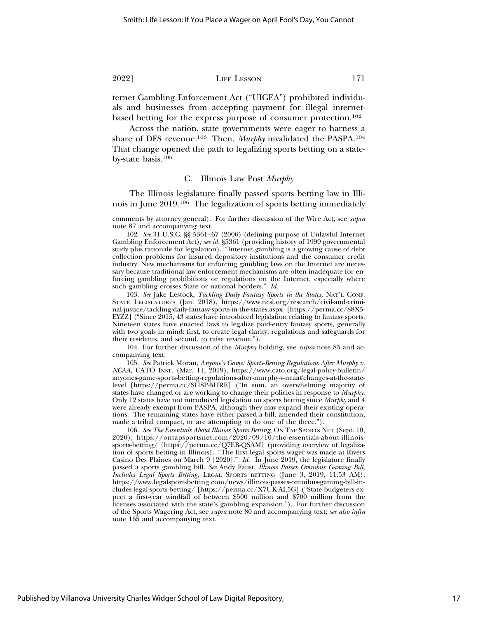ternet Gambling Enforcement Act ("UIGEA") prohibited individuals and businesses from accepting payment for illegal internetbased betting for the express purpose of consumer protection.102

Across the nation, state governments were eager to harness a share of DFS revenue.103 Then, *Murphy* invalidated the PASPA.104 That change opened the path to legalizing sports betting on a stateby-state basis.105

#### C. Illinois Law Post *Murphy*

The Illinois legislature finally passed sports betting law in Illinois in June 2019.106 The legalization of sports betting immediately

102. *See* 31 U.S.C. §§ 5361–67 (2006) (defining purpose of Unlawful Internet Gambling Enforcement Act)*; see id.* §5361 (providing history of 1999 governmental study plus rationale for legislation). "Internet gambling is a growing cause of debt collection problems for insured depository institutions and the consumer credit industry. New mechanisms for enforcing gambling laws on the Internet are necessary because traditional law enforcement mechanisms are often inadequate for enforcing gambling prohibitions or regulations on the Internet, especially where such gambling crosses State or national borders." *Id.*

103. *See* Jake Lestock, *Tackling Daily Fantasy Sports in the States*, NAT'L CONF. STATE LEGISLATURES (Jan. 2018), https://www.ncsl.org/research/civil-and-criminal-justice/tackling-daily-fantasy-sports-in-the-states.aspx [https://perma.cc/88X5- EYZZ] ("Since 2015, 43 states have introduced legislation relating to fantasy sports. Nineteen states have enacted laws to legalize paid-entry fantasy sports, generally with two goals in mind: first, to create legal clarity, regulations and safeguards for their residents, and second, to raise revenue.").

104. For further discussion of the *Murphy* holding, see *supra* note 85 and accompanying text.

105. *See* Patrick Moran, *Anyone's Game: Sports-Betting Regulations After Murphy v. NCAA*, CATO INST. (Mar. 11, 2019), https://www.cato.org/legal-policy-bulletin/ anyones-game-sports-betting-regulations-after-murphy-v-ncaa#changes-at-the-statelevel [https://perma.cc/SH8P-5HRE] ("In sum, an overwhelming majority of states have changed or are working to change their policies in response to *Murphy*. Only 12 states have not introduced legislation on sports betting since *Murphy* and 4 were already exempt from PASPA, although they may expand their existing operations. The remaining states have either passed a bill, amended their constitution, made a tribal compact, or are attempting to do one of the three.").

106. *See The Essentials About Illinois Sports Betting*, ON TAP SPORTS NET (Sept. 10, 2020), https://ontapsportsnet.com/2020/09/10/the-essentials-about-illinoissports-betting/ [https://perma.cc/Q7EB-QSAM] (providing overview of legalization of sports betting in Illinois). "The first legal sports wager was made at Rivers Casino Des Plaines on March 9 [2020]." *Id.* In June 2019, the legislature finally passed a sports gambling bill. *See* Andy Faust, *Illinois Passes Omnibus Gaming Bill, Includes Legal Sports Betting*, LEGAL SPORTS BETTING (June 3, 2019, 11:53 AM), https://www.legalsportsbetting.com/news/illinois-passes-omnibus-gaming-bill-includes-legal-sports-betting/ [https://perma.cc/X7UK-AL5G] ("State budgeters expect a first-year windfall of between \$500 million and \$700 million from the licenses associated with the state's gambling expansion."). For further discussion of the Sports Wagering Act, see *supra* note 80 and accompanying text; *see also infra* note 165 and accompanying text.

comments by attorney general). For further discussion of the Wire Act, see *supra* note 87 and accompanying text.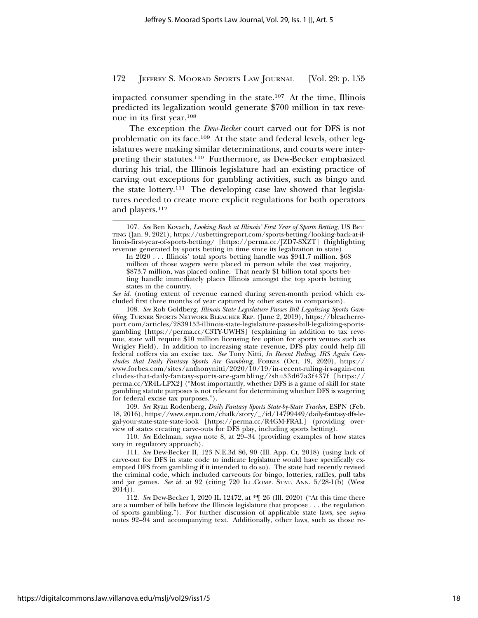impacted consumer spending in the state.107 At the time, Illinois predicted its legalization would generate \$700 million in tax revenue in its first year.108

The exception the *Dew-Becker* court carved out for DFS is not problematic on its face.109 At the state and federal levels, other legislatures were making similar determinations, and courts were interpreting their statutes.110 Furthermore, as Dew-Becker emphasized during his trial, the Illinois legislature had an existing practice of carving out exceptions for gambling activities, such as bingo and the state lottery.111 The developing case law showed that legislatures needed to create more explicit regulations for both operators and players.<sup>112</sup>

*See id.* (noting extent of revenue earned during seven-month period which excluded first three months of year captured by other states in comparison).

108. *See* Rob Goldberg, *Illinois State Legislature Passes Bill Legalizing Sports Gambling*, TURNER SPORTS NETWORK BLEACHER REP. (June 2, 2019), https://bleacherreport.com/articles/2839153-illinois-state-legislature-passes-bill-legalizing-sportsgambling [https://perma.cc/C3TY-UWHS] (explaining in addition to tax revenue, state will require \$10 million licensing fee option for sports venues such as Wrigley Field). In addition to increasing state revenue, DFS play could help fill federal coffers via an excise tax. *See* Tony Nitti, *In Recent Ruling, IRS Again Concludes that Daily Fantasy Sports Are Gambling*, FORBES (Oct. 19, 2020), https:// www.forbes.com/sites/anthonynitti/2020/10/19/in-recent-ruling-irs-again-con cludes-that-daily-fantasy-sports-are-gambling/?sh=53d67a3f437f [https:// perma.cc/YR4L-LPX2] ("Most importantly, whether DFS is a game of skill for state gambling statute purposes is not relevant for determining whether DFS is wagering for federal excise tax purposes.").

109. *See* Ryan Rodenberg, *Daily Fantasy Sports State-by-State Tracker*, ESPN (Feb. 18, 2016), https://www.espn.com/chalk/story/\_/id/14799449/daily-fantasy-dfs-legal-your-state-state-state-look [https://perma.cc/R4GM-FRAL] (providing overview of states creating carve-outs for DFS play, including sports betting).

110. *See* Edelman, *supra* note 8, at 29–34 (providing examples of how states vary in regulatory approach).

112. *See* Dew-Becker I, 2020 IL 12472, at \*¶ 26 (Ill. 2020) ("At this time there are a number of bills before the Illinois legislature that propose . . . the regulation of sports gambling."). For further discussion of applicable state laws, see *supra* notes 92–94 and accompanying text. Additionally, other laws, such as those re-

<sup>107.</sup> *See* Ben Kovach, *Looking Back at Illinois' First Year of Sports Betting*, US BET-TING (Jan. 9, 2021), https://usbettingreport.com/sports-betting/looking-back-at-illinois-first-year-of-sports-betting/ [https://perma.cc/JZD7-SXZT] (highlighting revenue generated by sports betting in time since its legalization in state).

In 2020 . . . Illinois' total sports betting handle was \$941.7 million. \$68 million of those wagers were placed in person while the vast majority, \$873.7 million, was placed online. That nearly \$1 billion total sports betting handle immediately places Illinois amongst the top sports betting states in the country.

<sup>111.</sup> *See* Dew-Becker II, 123 N.E.3d 86, 90 (Ill. App. Ct. 2018) (using lack of carve-out for DFS in state code to indicate legislature would have specifically exempted DFS from gambling if it intended to do so). The state had recently revised the criminal code, which included carveouts for bingo, lotteries, raffles, pull tabs and jar games. See id. at 92 (citing 720 ILL.COMP. STAT. ANN. 5/28-1(b) (West  $2014)$ ).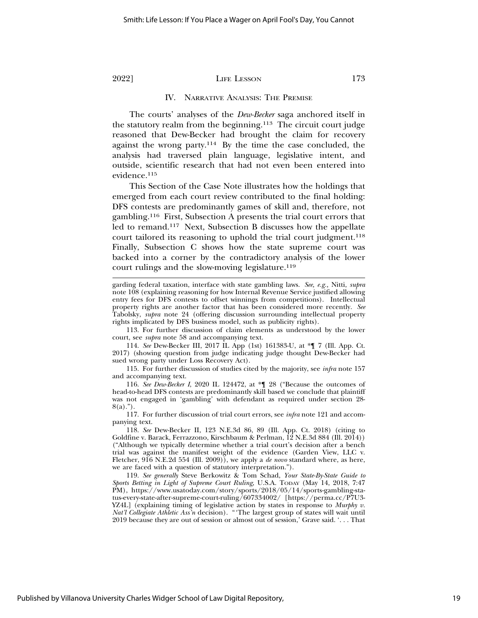#### IV. NARRATIVE ANALYSIS: THE PREMISE

The courts' analyses of the *Dew-Becker* saga anchored itself in the statutory realm from the beginning.113 The circuit court judge reasoned that Dew-Becker had brought the claim for recovery against the wrong party.114 By the time the case concluded, the analysis had traversed plain language, legislative intent, and outside, scientific research that had not even been entered into evidence.115

This Section of the Case Note illustrates how the holdings that emerged from each court review contributed to the final holding: DFS contests are predominantly games of skill and, therefore, not gambling.116 First, Subsection A presents the trial court errors that led to remand.117 Next, Subsection B discusses how the appellate court tailored its reasoning to uphold the trial court judgment.<sup>118</sup> Finally, Subsection C shows how the state supreme court was backed into a corner by the contradictory analysis of the lower court rulings and the slow-moving legislature.<sup>119</sup>

113. For further discussion of claim elements as understood by the lower court, see *supra* note 58 and accompanying text.

114. *See* Dew-Becker III, 2017 IL App (1st) 161383-U, at \*¶ 7 (Ill. App. Ct. 2017) (showing question from judge indicating judge thought Dew-Becker had sued wrong party under Loss Recovery Act).

115. For further discussion of studies cited by the majority, see *infra* note 157 and accompanying text.

116. *See Dew-Becker I*, 2020 IL 124472, at \*¶ 28 ("Because the outcomes of head-to-head DFS contests are predominantly skill based we conclude that plaintiff was not engaged in 'gambling' with defendant as required under section 28-  $8(a)$ .").

117. For further discussion of trial court errors, see *infra* note 121 and accompanying text.

118. *See* Dew-Becker II, 123 N.E.3d 86, 89 (Ill. App. Ct. 2018) (citing to Goldfine v. Barack, Ferrazzono, Kirschbaum & Perlman, 12 N.E.3d 884 (Ill. 2014)) ("Although we typically determine whether a trial court's decision after a bench trial was against the manifest weight of the evidence (Garden View, LLC v. Fletcher, 916 N.E.2d 554 (Ill. 2009)), we apply a *de novo* standard where, as here, we are faced with a question of statutory interpretation.").

119. *See generally* Steve Berkowitz & Tom Schad, *Your State-By-State Guide to Sports Betting in Light of Supreme Court Ruling*, U.S.A. TODAY (May 14, 2018, 7:47 PM), https://www.usatoday.com/story/sports/2018/05/14/sports-gambling-status-every-state-after-supreme-court-ruling/607334002/ [https://perma.cc/P7U3- YZ4L] (explaining timing of legislative action by states in response to *Murphy v. Nat'l Collegiate Athletic Ass'n* decision). "'The largest group of states will wait until 2019 because they are out of session or almost out of session,' Grave said. '. . . That

Published by Villanova University Charles Widger School of Law Digital Repository,

garding federal taxation, interface with state gambling laws. *See, e.g.,* Nitti, *supra* note 108 (explaining reasoning for how Internal Revenue Service justified allowing entry fees for DFS contests to offset winnings from competitions). Intellectual property rights are another factor that has been considered more recently. *See* Tabolsky, *supra* note 24 (offering discussion surrounding intellectual property rights implicated by DFS business model, such as publicity rights).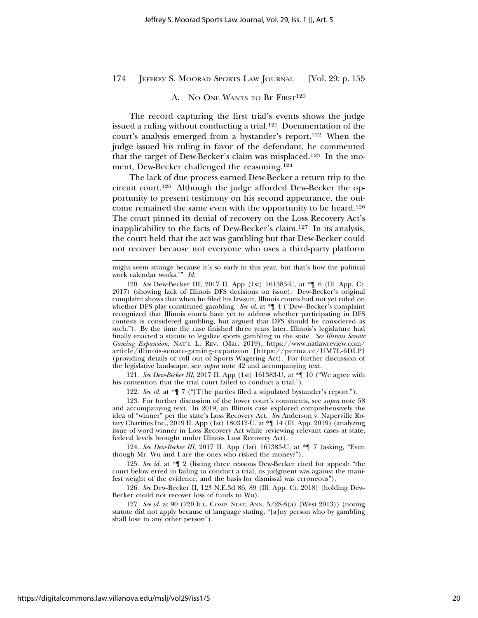#### A. NO ONE WANTS TO BE FIRST<sup>120</sup>

The record capturing the first trial's events shows the judge issued a ruling without conducting a trial.121 Documentation of the court's analysis emerged from a bystander's report.122 When the judge issued his ruling in favor of the defendant, he commented that the target of Dew-Becker's claim was misplaced.123 In the moment, Dew-Becker challenged the reasoning.124

The lack of due process earned Dew-Becker a return trip to the circuit court.125 Although the judge afforded Dew-Becker the opportunity to present testimony on his second appearance, the outcome remained the same even with the opportunity to be heard.126 The court pinned its denial of recovery on the Loss Recovery Act's inapplicability to the facts of Dew-Becker's claim.127 In its analysis, the court held that the act was gambling but that Dew-Becker could not recover because not everyone who uses a third-party platform

121. *See Dew-Becker III*, 2017 IL App (1st) 161383-U, at \*¶ 10 ("We agree with his contention that the trial court failed to conduct a trial.").

122. *See id.* at \*¶ 7 ("[T]he parties filed a stipulated bystander's report.").

123. For further discussion of the lower court's comments, see *supra* note 58 and accompanying text. In 2019, an Illinois case explored comprehensively the idea of "winner" per the state's Loss Recovery Act. *See* Anderson v. Naperville Rotary Charities Inc., 2019 IL App (1st) 180312-U, at \*¶ 14 (Ill. App. 2019) (analyzing issue of word winner in Loss Recovery Act while reviewing relevant cases at state, federal levels brought under Illinois Loss Recovery Act).

124. *See Dew-Becker III*, 2017 IL App (1st) 161383-U, at \*¶ 7 (asking, "Even though Mr. Wu and I are the ones who risked the money?").

125. *See id.* at \*¶ 2 (listing three reasons Dew-Becker cited for appeal: "the court below erred in failing to conduct a trial, its judgment was against the manifest weight of the evidence, and the basis for dismissal was erroneous").

126. *See* Dew-Becker II, 123 N.E.3d 86, 89 (Ill. App. Ct. 2018) (holding Dew-Becker could not recover loss of funds to Wu).

127. *See id.* at 90 (720 ILL. COMP. STAT. ANN. 5/28-8(a) (West 2013)) (noting statute did not apply because of language stating, "[a]ny person who by gambling shall lose to any other person").

might seem strange because it's so early in this year, but that's how the political work calendar works.'" *Id.*

<sup>120.</sup> *See* Dew-Becker III, 2017 IL App (1st) 161383-U, at \*¶ 6 (Ill. App. Ct. 2017) (showing lack of Illinois DFS decisions on issue). Dew-Becker's original complaint shows that when he filed his lawsuit, Illinois courts had not yet ruled on whether DFS play constituted gambling. *See id.* at \*¶ 4 ("Dew–Becker's complaint recognized that Illinois courts have yet to address whether participating in DFS contests is considered gambling, but argued that DFS should be considered as such."). By the time the case finished three years later, Illinois's legislature had finally enacted a statute to legalize sports gambling in the state. *See Illinois Senate Gaming Expansion*, NAT'L L. REV. (Mar. 2019), https://www.natlawreview.com/ article/illinois-senate-gaming-expansion [https://perma.cc/UM7L-6DLP] (providing details of roll out of Sports Wagering Act). For further discussion of the legislative landscape, see *supra* note 42 and accompanying text.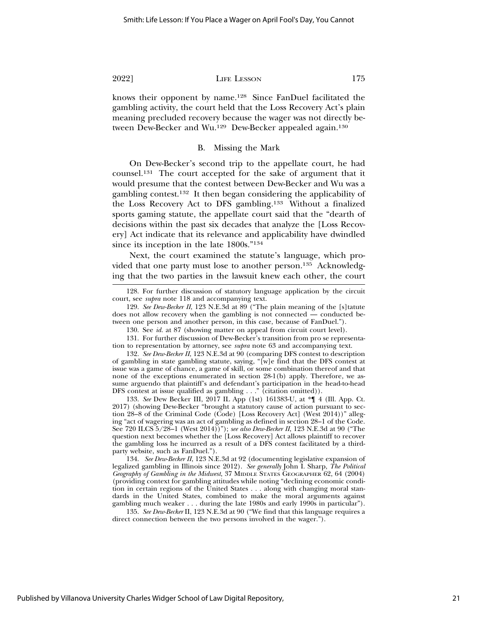knows their opponent by name.128 Since FanDuel facilitated the gambling activity, the court held that the Loss Recovery Act's plain meaning precluded recovery because the wager was not directly between Dew-Becker and Wu.<sup>129</sup> Dew-Becker appealed again.<sup>130</sup>

### B. Missing the Mark

On Dew-Becker's second trip to the appellate court, he had counsel.131 The court accepted for the sake of argument that it would presume that the contest between Dew-Becker and Wu was a gambling contest.132 It then began considering the applicability of the Loss Recovery Act to DFS gambling.133 Without a finalized sports gaming statute, the appellate court said that the "dearth of decisions within the past six decades that analyze the [Loss Recovery] Act indicate that its relevance and applicability have dwindled since its inception in the late 1800s."134

Next, the court examined the statute's language, which provided that one party must lose to another person.135 Acknowledging that the two parties in the lawsuit knew each other, the court

131. For further discussion of Dew-Becker's transition from pro se representation to representation by attorney, see *supra* note 63 and accompanying text.

132. *See Dew-Becker II*, 123 N.E.3d at 90 (comparing DFS contest to description of gambling in state gambling statute, saying, "[w]e find that the DFS contest at issue was a game of chance, a game of skill, or some combination thereof and that none of the exceptions enumerated in section 28-1(b) apply. Therefore, we assume arguendo that plaintiff's and defendant's participation in the head-to-head DFS contest at issue qualified as gambling . . ." (citation omitted)).

133. *See* Dew Becker III, 2017 IL App (1st) 161383-U, at \*¶ 4 (Ill. App. Ct. 2017) (showing Dew-Becker "brought a statutory cause of action pursuant to section 28–8 of the Criminal Code (Code) [Loss Recovery Act] (West 2014))" alleging "act of wagering was an act of gambling as defined in section 28–1 of the Code. See 720 ILCS 5/28–1 (West 2014))"); *see also Dew-Becker II*, 123 N.E.3d at 90 ("The question next becomes whether the [Loss Recovery] Act allows plaintiff to recover the gambling loss he incurred as a result of a DFS contest facilitated by a thirdparty website, such as FanDuel.").

134. *See Dew-Becker II*, 123 N.E.3d at 92 (documenting legislative expansion of legalized gambling in Illinois since 2012). *See generally* John I. Sharp, *The Political Geography of Gambling in the Midwest*, 37 MIDDLE STATES GEOGRAPHER 62, 64 (2004) (providing context for gambling attitudes while noting "declining economic condition in certain regions of the United States . . . along with changing moral standards in the United States, combined to make the moral arguments against gambling much weaker . . . during the late 1980s and early 1990s in particular").

135. *See Dew-Becker* II, 123 N.E.3d at 90 ("We find that this language requires a direct connection between the two persons involved in the wager.").

<sup>128.</sup> For further discussion of statutory language application by the circuit court, see *supra* note 118 and accompanying text.

<sup>129.</sup> *See Dew-Becker II*, 123 N.E.3d at 89 ("The plain meaning of the [s]tatute does not allow recovery when the gambling is not connected — conducted between one person and another person, in this case, because of FanDuel.").

<sup>130.</sup> See *id.* at 87 (showing matter on appeal from circuit court level).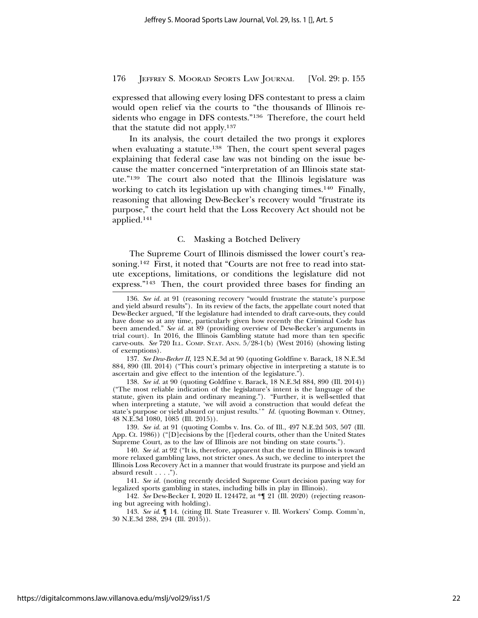expressed that allowing every losing DFS contestant to press a claim would open relief via the courts to "the thousands of Illinois residents who engage in DFS contests."136 Therefore, the court held that the statute did not apply.137

In its analysis, the court detailed the two prongs it explores when evaluating a statute.<sup>138</sup> Then, the court spent several pages explaining that federal case law was not binding on the issue because the matter concerned "interpretation of an Illinois state statute."139 The court also noted that the Illinois legislature was working to catch its legislation up with changing times.<sup>140</sup> Finally, reasoning that allowing Dew-Becker's recovery would "frustrate its purpose," the court held that the Loss Recovery Act should not be applied.141

#### C. Masking a Botched Delivery

The Supreme Court of Illinois dismissed the lower court's reasoning.142 First, it noted that "Courts are not free to read into statute exceptions, limitations, or conditions the legislature did not express."143 Then, the court provided three bases for finding an

137. *See Dew-Becker II*, 123 N.E.3d at 90 (quoting Goldfine v. Barack, 18 N.E.3d 884, 890 (Ill. 2014) ("This court's primary objective in interpreting a statute is to ascertain and give effect to the intention of the legislature.").

138. *See id.* at 90 (quoting Goldfine v. Barack, 18 N.E.3d 884, 890 (Ill. 2014)) ("The most reliable indication of the legislature's intent is the language of the statute, given its plain and ordinary meaning."). "Further, it is well-settled that when interpreting a statute, 'we will avoid a construction that would defeat the state's purpose or yield absurd or unjust results.'" *Id.* (quoting Bowman v. Ottney, 48 N.E.3d 1080, 1085 (Ill. 2015)).

139. *See id.* at 91 (quoting Combs v. Ins. Co. of Ill., 497 N.E.2d 503, 507 (Ill. App. Ct. 1986)) ("[D]ecisions by the [f]ederal courts, other than the United States Supreme Court, as to the law of Illinois are not binding on state courts.").

140. *See id.* at 92 ("It is, therefore, apparent that the trend in Illinois is toward more relaxed gambling laws, not stricter ones. As such, we decline to interpret the Illinois Loss Recovery Act in a manner that would frustrate its purpose and yield an absurd result  $\dots$  .").

141. *See id.* (noting recently decided Supreme Court decision paving way for legalized sports gambling in states, including bills in play in Illinois).

142. *See* Dew-Becker I, 2020 IL 124472, at \*¶ 21 (Ill. 2020) (rejecting reasoning but agreeing with holding).

143. *See id*. ¶ 14. (citing Ill. State Treasurer v. Ill. Workers' Comp. Comm'n, 30 N.E.3d 288, 294 (Ill. 2015)).

<sup>136.</sup> *See id.* at 91 (reasoning recovery "would frustrate the statute's purpose and yield absurd results"). In its review of the facts, the appellate court noted that Dew-Becker argued, "If the legislature had intended to draft carve-outs, they could have done so at any time, particularly given how recently the Criminal Code has been amended." See id. at 89 (providing overview of Dew-Becker's arguments in trial court). In 2016, the Illinois Gambling statute had more than ten specific carve-outs. *See* 720 ILL. COMP. STAT. ANN. 5/28-1(b) (West 2016) (showing listing of exemptions).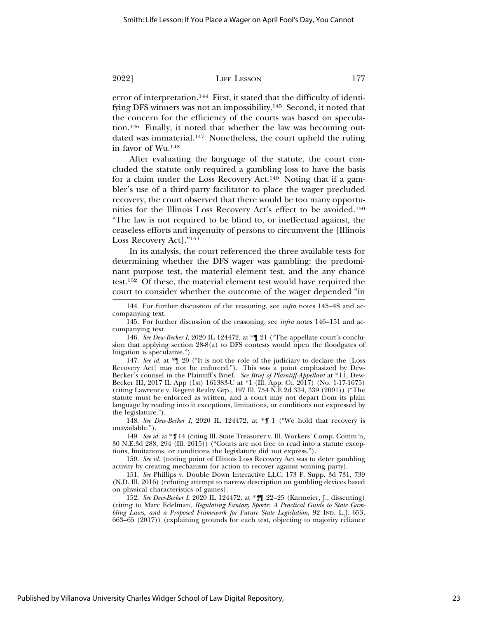error of interpretation.144 First, it stated that the difficulty of identifying DFS winners was not an impossibility.145 Second, it noted that the concern for the efficiency of the courts was based on speculation.146 Finally, it noted that whether the law was becoming outdated was immaterial.147 Nonetheless, the court upheld the ruling in favor of Wu.148

After evaluating the language of the statute, the court concluded the statute only required a gambling loss to have the basis for a claim under the Loss Recovery Act.149 Noting that if a gambler's use of a third-party facilitator to place the wager precluded recovery, the court observed that there would be too many opportunities for the Illinois Loss Recovery Act's effect to be avoided.150 "The law is not required to be blind to, or ineffectual against, the ceaseless efforts and ingenuity of persons to circumvent the [Illinois Loss Recovery Act]."151

In its analysis, the court referenced the three available tests for determining whether the DFS wager was gambling: the predominant purpose test, the material element test, and the any chance test.152 Of these, the material element test would have required the court to consider whether the outcome of the wager depended "in

147. *See id.* at \*¶ 20 ("It is not the role of the judiciary to declare the [Loss Recovery Act] may not be enforced."). This was a point emphasized by Dew-Becker's counsel in the Plaintiff's Brief. *See Brief of Plaintiff-Appellant* at \*11, Dew-Becker III, 2017 IL App (1st) 161383-U at \*1 (Ill. App. Ct. 2017) (No. 1-17-1675) (citing Lawrence v. Regent Realty Grp., 197 Ill. 754 N.E.2d 334, 339 (2001)) ("The statute must be enforced as written, and a court may not depart from its plain language by reading into it exceptions, limitations, or conditions not expressed by the legislature.").

148. *See Dew-Becker I*, 2020 IL 124472, at \**¶* 1 ("We hold that recovery is unavailable.").

149. *See id.* at \**¶* 14 (citing Ill. State Treasurer v. Ill. Workers' Comp. Comm'n, 30 N.E.3d 288, 294 (Ill. 2015)) ("Courts are not free to read into a statute exceptions, limitations, or conditions the legislature did not express.").

150. *See id.* (noting point of Illinois Loss Recovery Act was to deter gambling activity by creating mechanism for action to recover against winning party).

151. *See* Phillips v. Double Down Interactive LLC, 173 F. Supp. 3d 731, 739 (N.D. Ill. 2016) (refuting attempt to narrow description on gambling devices based on physical characteristics of games).

152. *See Dew-Becker I*, 2020 IL 124472, at \**¶*¶ 22–25 (Karmeier, J., dissenting) (citing to Marc Edelman, *Regulating Fantasy Sports: A Practical Guide to State Gambling Laws, and a Proposed Framework for Future State Legislation*, 92 IND. L.J. 653, 663–65 (2017)) (explaining grounds for each test, objecting to majority reliance

<sup>144.</sup> For further discussion of the reasoning, see *infra* notes 145–48 and accompanying text.

<sup>145.</sup> For further discussion of the reasoning, see *infra* notes 146–151 and accompanying text.

<sup>146.</sup> *See Dew-Becker I*, 2020 IL 124472, at \*¶ 21 ("The appellate court's conclusion that applying section 28-8(a) to DFS contests would open the floodgates of litigation is speculative.").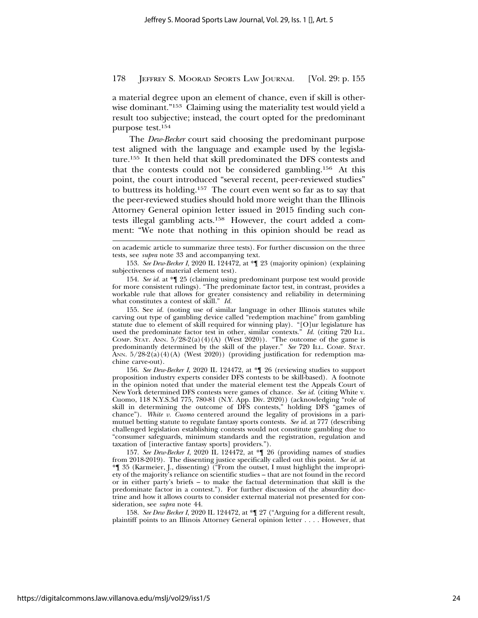a material degree upon an element of chance, even if skill is otherwise dominant."153 Claiming using the materiality test would yield a result too subjective; instead, the court opted for the predominant purpose test.154

The *Dew-Becker* court said choosing the predominant purpose test aligned with the language and example used by the legislature.155 It then held that skill predominated the DFS contests and that the contests could not be considered gambling.156 At this point, the court introduced "several recent, peer-reviewed studies" to buttress its holding.157 The court even went so far as to say that the peer-reviewed studies should hold more weight than the Illinois Attorney General opinion letter issued in 2015 finding such contests illegal gambling acts.158 However, the court added a comment: "We note that nothing in this opinion should be read as

on academic article to summarize three tests). For further discussion on the three tests, see *supra* note 33 and accompanying text.

<sup>153.</sup> *See Dew-Becker I*, 2020 IL 124472, at \*¶ 23 (majority opinion) (explaining subjectiveness of material element test).

<sup>154.</sup> *See id.* at \*¶ 25 (claiming using predominant purpose test would provide for more consistent rulings). "The predominate factor test, in contrast, provides a workable rule that allows for greater consistency and reliability in determining what constitutes a contest of skill." *Id.*

<sup>155.</sup> See *id.* (noting use of similar language in other Illinois statutes while carving out type of gambling device called "redemption machine" from gambling statute due to element of skill required for winning play). "[O]ur legislature has used the predominate factor test in other, similar contexts." *Id.* (citing 720 ILL. COMP. STAT. ANN.  $5/28-2(a)(4)(A)$  (West 2020)). "The outcome of the game is predominantly determined by the skill of the player." *See* 720 ILL. COMP. STAT. ANN.  $5/28-2(a)(4)(A)$  (West 2020)) (providing justification for redemption machine carve-out).

<sup>156.</sup> *See Dew-Becker I*, 2020 IL 124472, at \*¶ 26 (reviewing studies to support proposition industry experts consider DFS contests to be skill-based). A footnote in the opinion noted that under the material element test the Appeals Court of New York determined DFS contests were games of chance. *See id.* (citing White v. Cuomo, 118 N.Y.S.3d 775, 780-81 (N.Y. App. Div. 2020)) (acknowledging "role of skill in determining the outcome of DFS contests," holding DFS "games of chance"). *White v. Cuomo* centered around the legality of provisions in a parimutuel betting statute to regulate fantasy sports contests. *See id.* at 777 (describing challenged legislation establishing contests would not constitute gambling due to "consumer safeguards, minimum standards and the registration, regulation and taxation of [interactive fantasy sports] providers.").

<sup>157.</sup> *See Dew-Becker I*, 2020 IL 124472, at \*¶ 26 (providing names of studies from 2018-2019). The dissenting justice specifically called out this point. *See id.* at \*¶ 35 (Karmeier, J., dissenting) ("From the outset, I must highlight the impropriety of the majority's reliance on scientific studies – that are not found in the record or in either party's briefs – to make the factual determination that skill is the predominate factor in a contest."). For further discussion of the absurdity doctrine and how it allows courts to consider external material not presented for consideration, see *supra* note 44.

<sup>158.</sup> *See Dew Becker I*, 2020 IL 124472, at \*¶ 27 ("Arguing for a different result, plaintiff points to an Illinois Attorney General opinion letter . . . . However, that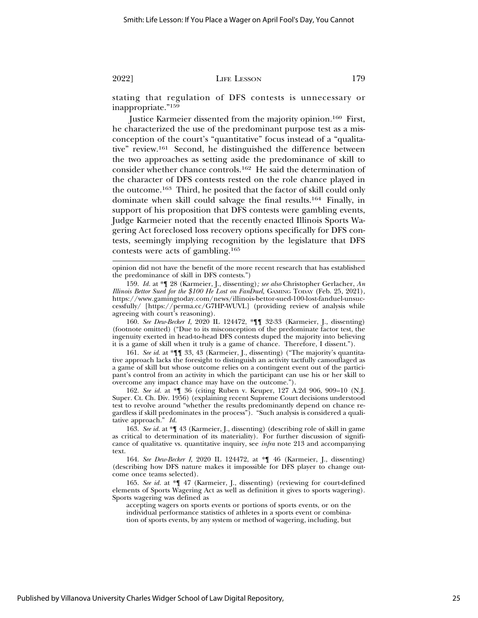stating that regulation of DFS contests is unnecessary or inappropriate."159

Justice Karmeier dissented from the majority opinion.160 First, he characterized the use of the predominant purpose test as a misconception of the court's "quantitative" focus instead of a "qualitative" review.161 Second, he distinguished the difference between the two approaches as setting aside the predominance of skill to consider whether chance controls.162 He said the determination of the character of DFS contests rested on the role chance played in the outcome.163 Third, he posited that the factor of skill could only dominate when skill could salvage the final results.164 Finally, in support of his proposition that DFS contests were gambling events, Judge Karmeier noted that the recently enacted Illinois Sports Wagering Act foreclosed loss recovery options specifically for DFS contests, seemingly implying recognition by the legislature that DFS contests were acts of gambling.165

160. *See Dew-Becker I*, 2020 IL 124472, \*¶¶ 32-33 (Karmeier, J., dissenting) (footnote omitted) ("Due to its misconception of the predominate factor test, the ingenuity exerted in head-to-head DFS contests duped the majority into believing it is a game of skill when it truly is a game of chance. Therefore, I dissent.").

161. *See id*. at \*¶¶ 33, 43 (Karmeier, J., dissenting) ("The majority's quantitative approach lacks the foresight to distinguish an activity tactfully camouflaged as a game of skill but whose outcome relies on a contingent event out of the participant's control from an activity in which the participant can use his or her skill to overcome any impact chance may have on the outcome.").

162. *See id.* at \*¶ 36 (citing Ruben v. Keuper, 127 A.2d 906, 909–10 (N.J. Super. Ct. Ch. Div. 1956) (explaining recent Supreme Court decisions understood test to revolve around "whether the results predominantly depend on chance regardless if skill predominates in the process"). "Such analysis is considered a qualitative approach." *Id.*

163. *See id.* at \*¶ 43 (Karmeier, J., dissenting) (describing role of skill in game as critical to determination of its materiality). For further discussion of significance of qualitative vs. quantitative inquiry, see *infra* note 213 and accompanying text.

164. *See Dew-Becker I*, 2020 IL 124472, at \*¶ 46 (Karmeier, J., dissenting) (describing how DFS nature makes it impossible for DFS player to change outcome once teams selected).

165. *See id.* at \*¶ 47 (Karmeier, J., dissenting) (reviewing for court-defined elements of Sports Wagering Act as well as definition it gives to sports wagering). Sports wagering was defined as

accepting wagers on sports events or portions of sports events, or on the individual performance statistics of athletes in a sports event or combination of sports events, by any system or method of wagering, including, but

opinion did not have the benefit of the more recent research that has established the predominance of skill in DFS contests.")

<sup>159.</sup> *Id.* at \*¶ 28 (Karmeier, J., dissenting)*; see also* Christopher Gerlacher, *An Illinois Bettor Sued for the \$100 He Lost on FanDuel,* GAMING TODAY (Feb. 25, 2021), https://www.gamingtoday.com/news/illinois-bettor-sued-100-lost-fanduel-unsuccessfully/ [https://perma.cc/G7HP-WUVL] (providing review of analysis while agreeing with court's reasoning).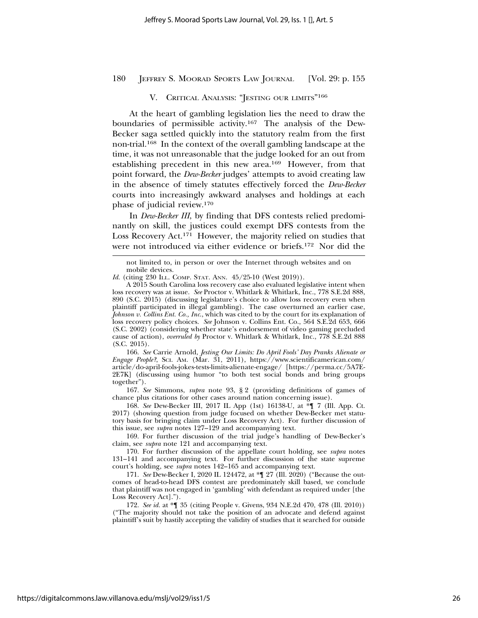# V. CRITICAL ANALYSIS: "JESTING OUR LIMITS"<sup>166</sup>

At the heart of gambling legislation lies the need to draw the boundaries of permissible activity.167 The analysis of the Dew-Becker saga settled quickly into the statutory realm from the first non-trial.168 In the context of the overall gambling landscape at the time, it was not unreasonable that the judge looked for an out from establishing precedent in this new area.169 However, from that point forward, the *Dew-Becker* judges' attempts to avoid creating law in the absence of timely statutes effectively forced the *Dew-Becker* courts into increasingly awkward analyses and holdings at each phase of judicial review.170

In *Dew-Becker III*, by finding that DFS contests relied predominantly on skill, the justices could exempt DFS contests from the Loss Recovery Act.171 However, the majority relied on studies that were not introduced via either evidence or briefs.172 Nor did the

166. *See* Carrie Arnold, *Jesting Our Limits: Do April Fools' Day Pranks Alienate or Engage People?*, SCI. AM. (Mar. 31, 2011), https://www.scientificamerican.com/ article/do-april-fools-jokes-tests-limits-alienate-engage/ [https://perma.cc/5A7E-2E7K] (discussing using humor "to both test social bonds and bring groups together").

167. *See* Simmons, *supra* note 93, § 2 (providing definitions of games of chance plus citations for other cases around nation concerning issue).

168. *See* Dew-Becker III, 2017 IL App (1st) 16138-U, at \*¶ 7 (Ill. App. Ct. 2017) (showing question from judge focused on whether Dew-Becker met statutory basis for bringing claim under Loss Recovery Act). For further discussion of this issue, see *supra* notes 127–129 and accompanying text.

169. For further discussion of the trial judge's handling of Dew-Becker's claim, see *supra* note 121 and accompanying text.

170. For further discussion of the appellate court holding, see *supra* notes 131–141 and accompanying text. For further discussion of the state supreme court's holding, see *supra* notes 142–165 and accompanying text.

171. *See* Dew-Becker I, 2020 IL 124472, at \*¶ 27 (Ill. 2020) ("Because the outcomes of head-to-head DFS contest are predominately skill based, we conclude that plaintiff was not engaged in 'gambling' with defendant as required under [the Loss Recovery Act].").

172. *See id.* at \*¶ 35 (citing People v. Givens, 934 N.E.2d 470, 478 (Ill. 2010)) ("The majority should not take the position of an advocate and defend against plaintiff's suit by hastily accepting the validity of studies that it searched for outside

not limited to, in person or over the Internet through websites and on mobile devices.

*Id.* (citing 230 ILL. COMP. STAT. ANN. 45/25-10 (West 2019)).

A 2015 South Carolina loss recovery case also evaluated legislative intent when loss recovery was at issue. *See* Proctor v. Whitlark & Whitlark, Inc., 778 S.E.2d 888, 890 (S.C. 2015) (discussing legislature's choice to allow loss recovery even when plaintiff participated in illegal gambling). The case overturned an earlier case, *Johnson v. Collins Ent. Co., Inc*., which was cited to by the court for its explanation of loss recovery policy choices. *See* Johnson v. Collins Ent. Co., 564 S.E.2d 653, 666 (S.C. 2002) (considering whether state's endorsement of video gaming precluded cause of action), *overruled by* Proctor v. Whitlark & Whitlark, Inc., 778 S.E.2d 888 (S.C. 2015).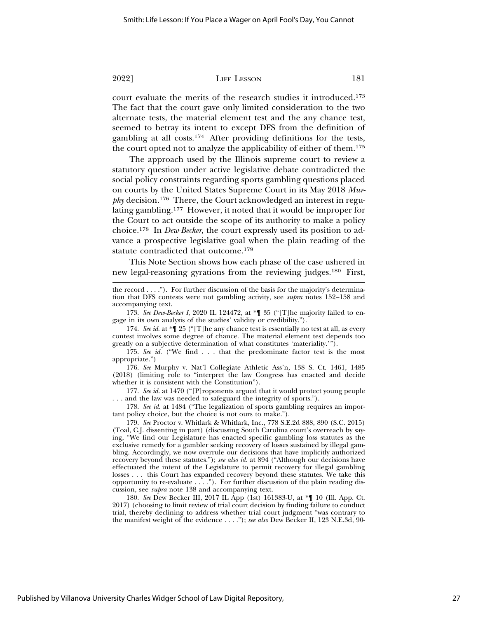court evaluate the merits of the research studies it introduced.173 The fact that the court gave only limited consideration to the two alternate tests, the material element test and the any chance test, seemed to betray its intent to except DFS from the definition of gambling at all costs.174 After providing definitions for the tests, the court opted not to analyze the applicability of either of them.175

The approach used by the Illinois supreme court to review a statutory question under active legislative debate contradicted the social policy constraints regarding sports gambling questions placed on courts by the United States Supreme Court in its May 2018 *Murphy* decision.<sup>176</sup> There, the Court acknowledged an interest in regulating gambling.177 However, it noted that it would be improper for the Court to act outside the scope of its authority to make a policy choice.178 In *Dew-Becker*, the court expressly used its position to advance a prospective legislative goal when the plain reading of the statute contradicted that outcome.179

This Note Section shows how each phase of the case ushered in new legal-reasoning gyrations from the reviewing judges.180 First,

173. *See Dew-Becker I*, 2020 IL 124472, at \*¶ 35 ("[T]he majority failed to engage in its own analysis of the studies' validity or credibility.").

174. *See id*. at \*¶ 25 ("[T]he any chance test is essentially no test at all, as every contest involves some degree of chance. The material element test depends too greatly on a subjective determination of what constitutes 'materiality.'").

175. *See id.* ("We find . . . that the predominate factor test is the most appropriate.")

176. *See* Murphy v. Nat'l Collegiate Athletic Ass'n, 138 S. Ct. 1461, 1485 (2018) (limiting role to "interpret the law Congress has enacted and decide whether it is consistent with the Constitution").

177. *See id.* at 1470 ("[P]roponents argued that it would protect young people . . . and the law was needed to safeguard the integrity of sports.").

178. *See id.* at 1484 ("The legalization of sports gambling requires an important policy choice, but the choice is not ours to make.").

179. *See* Proctor v. Whitlark & Whitlark, Inc., 778 S.E.2d 888, 890 (S.C. 2015) (Toal, C.J. dissenting in part) (discussing South Carolina court's overreach by saying, "We find our Legislature has enacted specific gambling loss statutes as the exclusive remedy for a gambler seeking recovery of losses sustained by illegal gambling. Accordingly, we now overrule our decisions that have implicitly authorized recovery beyond these statutes."); *see also id.* at 894 ("Although our decisions have effectuated the intent of the Legislature to permit recovery for illegal gambling losses . . . this Court has expanded recovery beyond these statutes. We take this opportunity to re-evaluate . . . ."). For further discussion of the plain reading discussion, see *supra* note 138 and accompanying text.

180. *See* Dew Becker III, 2017 IL App (1st) 161383-U, at \*¶ 10 (Ill. App. Ct. 2017) (choosing to limit review of trial court decision by finding failure to conduct trial, thereby declining to address whether trial court judgment "was contrary to the manifest weight of the evidence . . . ."); *see also* Dew Becker II, 123 N.E.3d, 90-

the record  $\dots$ "). For further discussion of the basis for the majority's determination that DFS contests were not gambling activity, see *supra* notes 152–158 and accompanying text.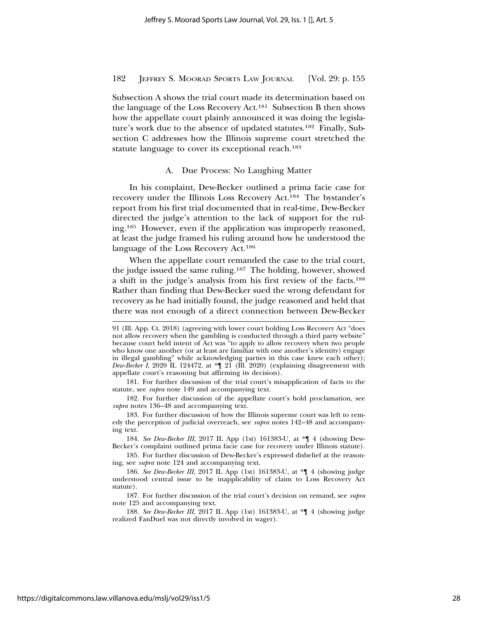Subsection A shows the trial court made its determination based on the language of the Loss Recovery Act.181 Subsection B then shows how the appellate court plainly announced it was doing the legislature's work due to the absence of updated statutes.182 Finally, Subsection C addresses how the Illinois supreme court stretched the statute language to cover its exceptional reach.<sup>183</sup>

#### A. Due Process: No Laughing Matter

In his complaint, Dew-Becker outlined a prima facie case for recovery under the Illinois Loss Recovery Act.184 The bystander's report from his first trial documented that in real-time, Dew-Becker directed the judge's attention to the lack of support for the ruling.185 However, even if the application was improperly reasoned, at least the judge framed his ruling around how he understood the language of the Loss Recovery Act.186

When the appellate court remanded the case to the trial court, the judge issued the same ruling.187 The holding, however, showed a shift in the judge's analysis from his first review of the facts.188 Rather than finding that Dew-Becker sued the wrong defendant for recovery as he had initially found, the judge reasoned and held that there was not enough of a direct connection between Dew-Becker

182. For further discussion of the appellate court's bold proclamation, see *supra* notes 136–48 and accompanying text.

183. For further discussion of how the Illinois supreme court was left to remedy the perception of judicial overreach, see *supra* notes 142–48 and accompanying text.

184. *See Dew-Becker III*, 2017 IL App (1st) 161383-U, at \*¶ 4 (showing Dew-Becker's complaint outlined prima facie case for recovery under Illinois statute).

185. For further discussion of Dew-Becker's expressed disbelief at the reasoning, see *supra* note 124 and accompanying text.

<sup>91 (</sup>Ill. App. Ct. 2018) (agreeing with lower court holding Loss Recovery Act "does not allow recovery when the gambling is conducted through a third party website" because court held intent of Act was "to apply to allow recovery when two people who know one another (or at least are familiar with one another's identity) engage in illegal gambling" while acknowledging parties in this case knew each other); *Dew-Becker I*, 2020 IL 124472, at \*¶ 21 (Ill. 2020) (explaining disagreement with appellate court's reasoning but affirming its decision).

<sup>181.</sup> For further discussion of the trial court's misapplication of facts to the statute, see *supra* note 149 and accompanying text.

<sup>186.</sup> *See Dew-Becker III*, 2017 IL App (1st) 161383-U, at \*¶ 4 (showing judge understood central issue to be inapplicability of claim to Loss Recovery Act statute).

<sup>187.</sup> For further discussion of the trial court's decision on remand, see *supra* note 125 and accompanying text.

<sup>188.</sup> *See Dew-Becker III*, 2017 IL App (1st) 161383-U, at \*¶ 4 (showing judge realized FanDuel was not directly involved in wager).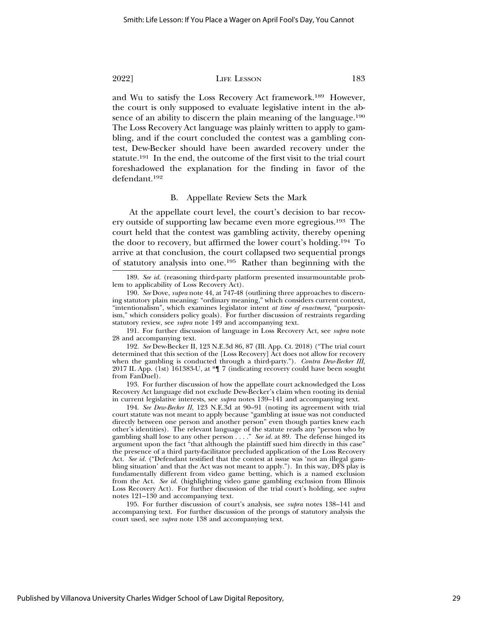and Wu to satisfy the Loss Recovery Act framework.189 However, the court is only supposed to evaluate legislative intent in the absence of an ability to discern the plain meaning of the language.<sup>190</sup> The Loss Recovery Act language was plainly written to apply to gambling, and if the court concluded the contest was a gambling contest, Dew-Becker should have been awarded recovery under the statute.191 In the end, the outcome of the first visit to the trial court foreshadowed the explanation for the finding in favor of the defendant.192

#### B. Appellate Review Sets the Mark

At the appellate court level, the court's decision to bar recovery outside of supporting law became even more egregious.193 The court held that the contest was gambling activity, thereby opening the door to recovery, but affirmed the lower court's holding.194 To arrive at that conclusion, the court collapsed two sequential prongs of statutory analysis into one.195 Rather than beginning with the

191. For further discussion of language in Loss Recovery Act, see *supra* note 28 and accompanying text.

192. *See* Dew-Becker II, 123 N.E.3d 86, 87 (Ill. App. Ct. 2018) ("The trial court determined that this section of the [Loss Recovery] Act does not allow for recovery when the gambling is conducted through a third-party."). *Contra Dew-Becker III*, 2017 IL App. (1st) 161383-U, at \*¶ 7 (indicating recovery could have been sought from FanDuel).

193. For further discussion of how the appellate court acknowledged the Loss Recovery Act language did not exclude Dew-Becker's claim when rooting its denial in current legislative interests, see *supra* notes 139–141 and accompanying text.

194. *See Dew-Becker II*, 123 N.E.3d at 90–91 (noting its agreement with trial court statute was not meant to apply because "gambling at issue was not conducted directly between one person and another person" even though parties knew each other's identities). The relevant language of the statute reads any "person who by gambling shall lose to any other person . . . ." *See id.* at 89. The defense hinged its argument upon the fact "that although the plaintiff sued him directly in this case" the presence of a third party-facilitator precluded application of the Loss Recovery Act. *See id.* ("Defendant testified that the contest at issue was 'not an illegal gambling situation' and that the Act was not meant to apply."). In this way, DFS play is fundamentally different from video game betting, which is a named exclusion from the Act. *See id.* (highlighting video game gambling exclusion from Illinois Loss Recovery Act). For further discussion of the trial court's holding, see *supra* notes 121–130 and accompanying text.

195. For further discussion of court's analysis, see *supra* notes 138–141 and accompanying text. For further discussion of the prongs of statutory analysis the court used, see *supra* note 138 and accompanying text.

<sup>189.</sup> *See id.* (reasoning third-party platform presented insurmountable problem to applicability of Loss Recovery Act).

<sup>190.</sup> *See* Dove, *supra* note 44, at 747-48 (outlining three approaches to discerning statutory plain meaning: "ordinary meaning," which considers current context, "intentionalism", which examines legislator intent *at time of enactment*, "purposivism," which considers policy goals). For further discussion of restraints regarding statutory review, see *supra* note 149 and accompanying text.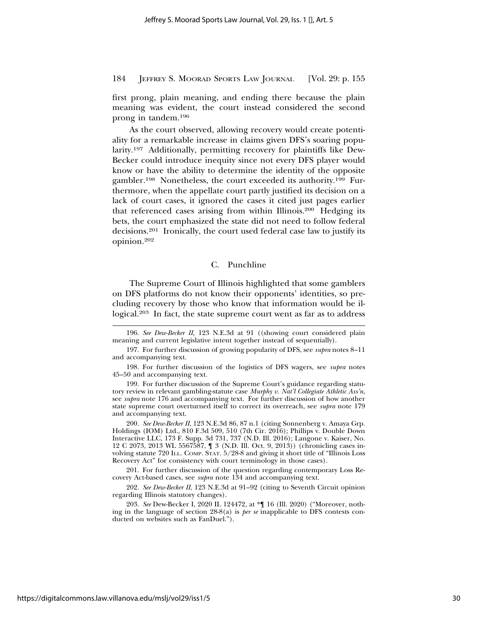first prong, plain meaning, and ending there because the plain meaning was evident, the court instead considered the second prong in tandem.196

As the court observed, allowing recovery would create potentiality for a remarkable increase in claims given DFS's soaring popularity.197 Additionally, permitting recovery for plaintiffs like Dew-Becker could introduce inequity since not every DFS player would know or have the ability to determine the identity of the opposite gambler.198 Nonetheless, the court exceeded its authority.199 Furthermore, when the appellate court partly justified its decision on a lack of court cases, it ignored the cases it cited just pages earlier that referenced cases arising from within Illinois.200 Hedging its bets, the court emphasized the state did not need to follow federal decisions.201 Ironically, the court used federal case law to justify its opinion.202

#### C. Punchline

The Supreme Court of Illinois highlighted that some gamblers on DFS platforms do not know their opponents' identities, so precluding recovery by those who know that information would be illogical.203 In fact, the state supreme court went as far as to address

200. *See Dew-Becker II*, 123 N.E.3d 86, 87 n.1 (citing Sonnenberg v. Amaya Grp. Holdings (IOM) Ltd., 810 F.3d 509, 510 (7th Cir. 2016); Phillips v. Double Down Interactive LLC, 173 F. Supp. 3d 731, 737 (N.D. Ill. 2016); Langone v. Kaiser, No. 12 C 2073, 2013 WL 5567587, ¶ 3 (N.D. Ill. Oct. 9, 2013)) (chronicling cases involving statute 720 ILL. COMP. STAT. 5/28-8 and giving it short title of "Illinois Loss Recovery Act" for consistency with court terminology in those cases).

201. For further discussion of the question regarding contemporary Loss Recovery Act-based cases, see *supra* note 134 and accompanying text.

202. *See Dew-Becker II*, 123 N.E.3d at 91–92 (citing to Seventh Circuit opinion regarding Illinois statutory changes).

203. *See* Dew-Becker I, 2020 IL 124472, at \*¶ 16 (Ill. 2020) ("Moreover, nothing in the language of section 28-8(a) is *per se* inapplicable to DFS contests conducted on websites such as FanDuel.").

<sup>196.</sup> *See Dew-Becker II*, 123 N.E.3d at 91 ((showing court considered plain meaning and current legislative intent together instead of sequentially).

<sup>197.</sup> For further discussion of growing popularity of DFS, see *supra* notes 8–11 and accompanying text.

<sup>198.</sup> For further discussion of the logistics of DFS wagers, see *supra* notes 45–50 and accompanying text.

<sup>199.</sup> For further discussion of the Supreme Court's guidance regarding statutory review in relevant gambling-statute case *Murphy v. Nat'l Collegiate Athletic Ass'n*, see *supra* note 176 and accompanying text. For further discussion of how another state supreme court overturned itself to correct its overreach, see *supra* note 179 and accompanying text.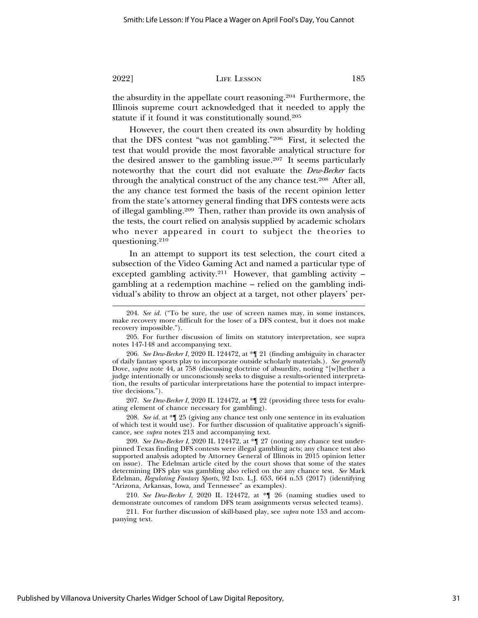the absurdity in the appellate court reasoning.204 Furthermore, the Illinois supreme court acknowledged that it needed to apply the statute if it found it was constitutionally sound.205

However, the court then created its own absurdity by holding that the DFS contest "was not gambling."206 First, it selected the test that would provide the most favorable analytical structure for the desired answer to the gambling issue.207 It seems particularly noteworthy that the court did not evaluate the *Dew-Becker* facts through the analytical construct of the any chance test.208 After all, the any chance test formed the basis of the recent opinion letter from the state's attorney general finding that DFS contests were acts of illegal gambling.209 Then, rather than provide its own analysis of the tests, the court relied on analysis supplied by academic scholars who never appeared in court to subject the theories to questioning.210

In an attempt to support its test selection, the court cited a subsection of the Video Gaming Act and named a particular type of excepted gambling activity.<sup>211</sup> However, that gambling activity  $$ gambling at a redemption machine – relied on the gambling individual's ability to throw an object at a target, not other players' per-

207. *See Dew-Becker I*, 2020 IL 124472, at \*¶ 22 (providing three tests for evaluating element of chance necessary for gambling).

208. *See id.* at \*¶ 25 (giving any chance test only one sentence in its evaluation of which test it would use). For further discussion of qualitative approach's significance, see *supra* notes 213 and accompanying text.

210. *See Dew-Becker I*, 2020 IL 124472, at \*¶ 26 (naming studies used to demonstrate outcomes of random DFS team assignments versus selected teams).

<sup>204.</sup> *See id.* ("To be sure, the use of screen names may, in some instances, make recovery more difficult for the loser of a DFS contest, but it does not make recovery impossible.").

<sup>205.</sup> For further discussion of limits on statutory interpretation, see supra notes 147-148 and accompanying text.

<sup>206.</sup> *See Dew-Becker I*, 2020 IL 124472, at \*¶ 21 (finding ambiguity in character of daily fantasy sports play to incorporate outside scholarly materials.). *See generally* Dove, *supra* note 44, at 758 (discussing doctrine of absurdity, noting "[w]hether a judge intentionally or unconsciously seeks to disguise a results-oriented interpretation, the results of particular interpretations have the potential to impact interpretive decisions.").

<sup>209.</sup> *See Dew-Becker I*, 2020 IL 124472, at \*¶ 27 (noting any chance test underpinned Texas finding DFS contests were illegal gambling acts; any chance test also supported analysis adopted by Attorney General of Illinois in 2015 opinion letter on issue). The Edelman article cited by the court shows that some of the states determining DFS play was gambling also relied on the any chance test. *See* Mark Edelman, *Regulating Fantasy Sports*, 92 IND. L.J. 653, 664 n.53 (2017) (identifying "Arizona, Arkansas, Iowa, and Tennessee" as examples).

<sup>211.</sup> For further discussion of skill-based play, see *supra* note 153 and accompanying text.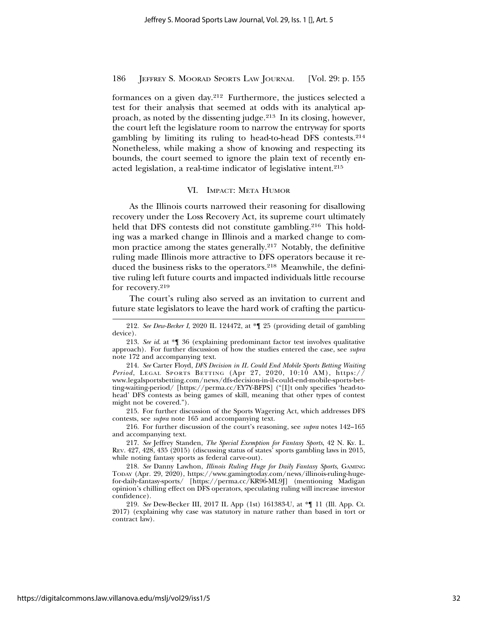formances on a given day.212 Furthermore, the justices selected a test for their analysis that seemed at odds with its analytical approach, as noted by the dissenting judge.213 In its closing, however, the court left the legislature room to narrow the entryway for sports gambling by limiting its ruling to head-to-head DFS contests.214 Nonetheless, while making a show of knowing and respecting its bounds, the court seemed to ignore the plain text of recently enacted legislation, a real-time indicator of legislative intent.215

#### VI. IMPACT: META HUMOR

As the Illinois courts narrowed their reasoning for disallowing recovery under the Loss Recovery Act, its supreme court ultimately held that DFS contests did not constitute gambling.<sup>216</sup> This holding was a marked change in Illinois and a marked change to common practice among the states generally.217 Notably, the definitive ruling made Illinois more attractive to DFS operators because it reduced the business risks to the operators.218 Meanwhile, the definitive ruling left future courts and impacted individuals little recourse for recovery.219

The court's ruling also served as an invitation to current and future state legislators to leave the hard work of crafting the particu-

214. *See* Carter Floyd, *DFS Decision in IL Could End Mobile Sports Betting Waiting Period*, LEGAL SPORTS BETTING (Apr 27, 2020, 10:10 AM),  $\overrightarrow{h}$ www.legalsportsbetting.com/news/dfs-decision-in-il-could-end-mobile-sports-betting-waiting-period/ [https://perma.cc/EY7Y-BFPS] ("[I]t only specifies 'head-tohead' DFS contests as being games of skill, meaning that other types of contest might not be covered.").

215. For further discussion of the Sports Wagering Act, which addresses DFS contests, see *supra* note 165 and accompanying text.

216. For further discussion of the court's reasoning, see *supra* notes 142–165 and accompanying text.

217. *See* Jeffrey Standen, *The Special Exemption for Fantasy Sports*, 42 N. KY. L. REV. 427, 428, 435 (2015) (discussing status of states' sports gambling laws in 2015, while noting fantasy sports as federal carve-out).

218. *See* Danny Lawhon, *Illinois Ruling Huge for Daily Fantasy Sports*, GAMING TODAY (Apr. 29, 2020), https://www.gamingtoday.com/news/illinois-ruling-hugefor-daily-fantasy-sports/ [https://perma.cc/KR96-ML9J] (mentioning Madigan opinion's chilling effect on DFS operators, speculating ruling will increase investor confidence).

219. *See* Dew-Becker III, 2017 IL App (1st) 161383-U, at \*¶ 11 (Ill. App. Ct. 2017) (explaining why case was statutory in nature rather than based in tort or contract law).

<sup>212.</sup> *See Dew-Becker I*, 2020 IL 124472, at \*¶ 25 (providing detail of gambling device).

<sup>213.</sup> *See id*. at \*¶ 36 (explaining predominant factor test involves qualitative approach). For further discussion of how the studies entered the case, see *supra* note 172 and accompanying text.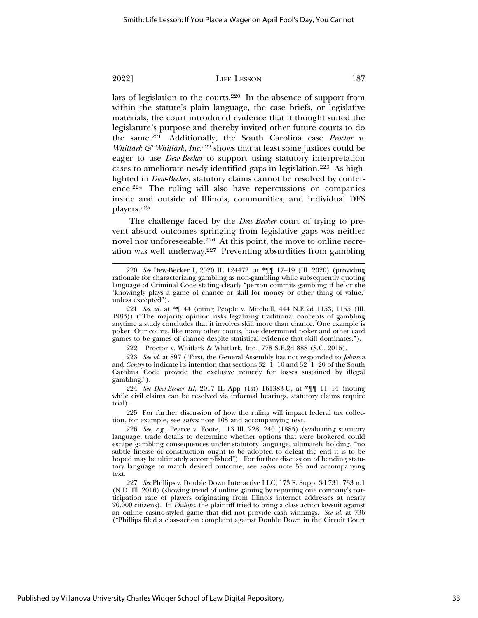lars of legislation to the courts.220 In the absence of support from within the statute's plain language, the case briefs, or legislative materials, the court introduced evidence that it thought suited the legislature's purpose and thereby invited other future courts to do the same.221 Additionally, the South Carolina case *Proctor v. Whitlark & Whitlark, Inc.*<sup>222</sup> shows that at least some justices could be eager to use *Dew-Becker* to support using statutory interpretation cases to ameliorate newly identified gaps in legislation.223 As highlighted in *Dew-Becker*, statutory claims cannot be resolved by conference.224 The ruling will also have repercussions on companies inside and outside of Illinois, communities, and individual DFS players.225

The challenge faced by the *Dew-Becker* court of trying to prevent absurd outcomes springing from legislative gaps was neither novel nor unforeseeable.226 At this point, the move to online recreation was well underway.227 Preventing absurdities from gambling

223. *See id.* at 897 ("First, the General Assembly has not responded to *Johnson* and *Gentry* to indicate its intention that sections 32–1–10 and 32–1–20 of the South Carolina Code provide the exclusive remedy for losses sustained by illegal gambling.").

224. *See Dew-Becker III*, 2017 IL App (1st) 161383-U, at \*¶¶ 11–14 (noting while civil claims can be resolved via informal hearings, statutory claims require trial).

225. For further discussion of how the ruling will impact federal tax collection, for example, see *supra* note 108 and accompanying text.

226. *See, e.g.,* Pearce v. Foote, 113 Ill. 228, 240 (1885) (evaluating statutory language, trade details to determine whether options that were brokered could escape gambling consequences under statutory language, ultimately holding, "no subtle finesse of construction ought to be adopted to defeat the end it is to be hoped may be ultimately accomplished"). For further discussion of bending statutory language to match desired outcome, see *supra* note 58 and accompanying text.

227. *See* Phillips v. Double Down Interactive LLC, 173 F. Supp. 3d 731, 733 n.1 (N.D. Ill. 2016) (showing trend of online gaming by reporting one company's participation rate of players originating from Illinois internet addresses at nearly 20,000 citizens). In *Phillips*, the plaintiff tried to bring a class action lawsuit against an online casino-styled game that did not provide cash winnings. *See id.* at 736 ("Phillips filed a class-action complaint against Double Down in the Circuit Court

<sup>220.</sup> *See* Dew-Becker I, 2020 IL 124472, at \*¶¶ 17–19 (Ill. 2020) (providing rationale for characterizing gambling as non-gambling while subsequently quoting language of Criminal Code stating clearly "person commits gambling if he or she 'knowingly plays a game of chance or skill for money or other thing of value,' unless excepted").

<sup>221.</sup> *See id.* at \*¶ 44 (citing People v. Mitchell, 444 N.E.2d 1153, 1155 (Ill. 1983)) ("The majority opinion risks legalizing traditional concepts of gambling anytime a study concludes that it involves skill more than chance. One example is poker. Our courts, like many other courts, have determined poker and other card games to be games of chance despite statistical evidence that skill dominates.").

<sup>222.</sup> Proctor v. Whitlark & Whitlark, Inc., 778 S.E.2d 888 (S.C. 2015).